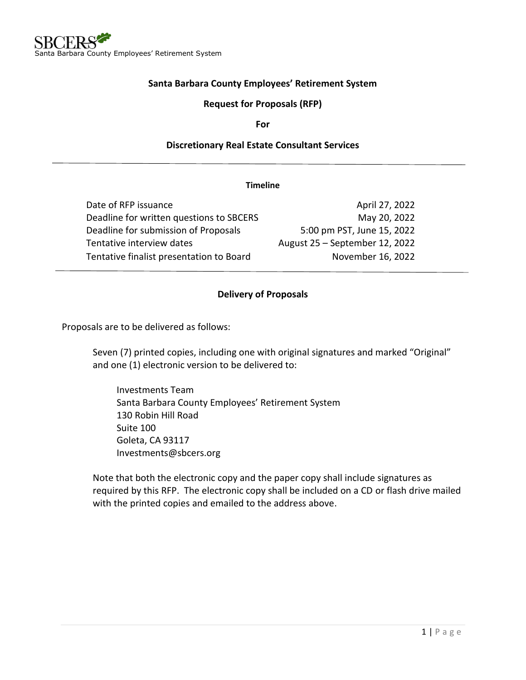### **Santa Barbara County Employees' Retirement System**

#### **Request for Proposals (RFP)**

**For**

#### **Discretionary Real Estate Consultant Services**

#### **Timeline**

| Date of RFP issuance                     | April 27, 2022                 |
|------------------------------------------|--------------------------------|
| Deadline for written questions to SBCERS | May 20, 2022                   |
| Deadline for submission of Proposals     | 5:00 pm PST, June 15, 2022     |
| Tentative interview dates                | August 25 - September 12, 2022 |
| Tentative finalist presentation to Board | November 16, 2022              |

#### **Delivery of Proposals**

Proposals are to be delivered as follows:

Seven (7) printed copies, including one with original signatures and marked "Original" and one (1) electronic version to be delivered to:

Investments Team Santa Barbara County Employees' Retirement System 130 Robin Hill Road Suite 100 Goleta, CA 93117 Investments@sbcers.org

Note that both the electronic copy and the paper copy shall include signatures as required by this RFP. The electronic copy shall be included on a CD or flash drive mailed with the printed copies and emailed to the address above.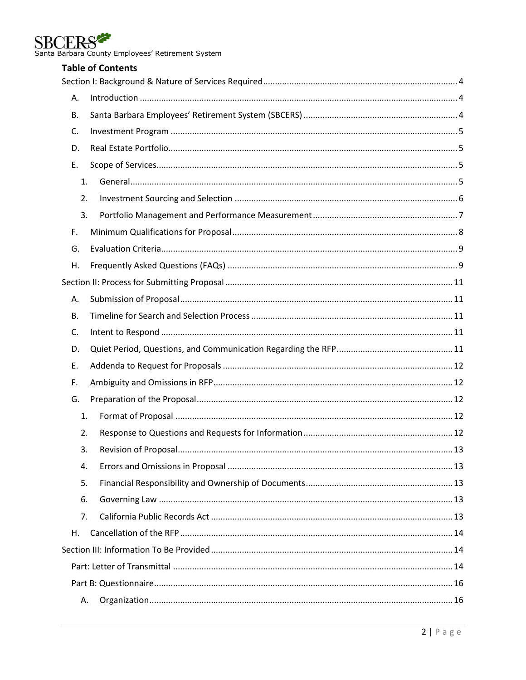

SBCERS<br>Santa Barbara County Employees' Retirement System

|           | <b>Table of Contents</b> |  |
|-----------|--------------------------|--|
|           |                          |  |
| А.        |                          |  |
| В.        |                          |  |
| C.        |                          |  |
| D.        |                          |  |
| Ε.        |                          |  |
| 1.        |                          |  |
| 2.        |                          |  |
| 3.        |                          |  |
| F.        |                          |  |
| G.        |                          |  |
| Η.        |                          |  |
|           |                          |  |
| Α.        |                          |  |
| <b>B.</b> |                          |  |
| C.        |                          |  |
| D.        |                          |  |
| Ε.        |                          |  |
| F.        |                          |  |
| G.        |                          |  |
| 1.        |                          |  |
| 2.        |                          |  |
| 3.        |                          |  |
| 4.        |                          |  |
| 5.        |                          |  |
| 6.        |                          |  |
| 7.        |                          |  |
| Η.        |                          |  |
|           |                          |  |
|           |                          |  |
|           |                          |  |
| А.        |                          |  |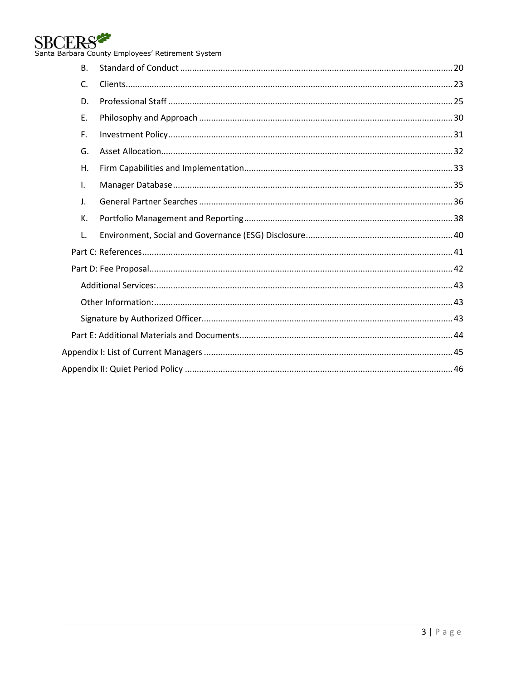

SBCERS<br>Santa Barbara County Employees' Retirement System

| B. |  |
|----|--|
| C. |  |
| D. |  |
| Ε. |  |
| F. |  |
| G. |  |
| Н. |  |
| I. |  |
| J. |  |
| К. |  |
| L. |  |
|    |  |
|    |  |
|    |  |
|    |  |
|    |  |
|    |  |
|    |  |
|    |  |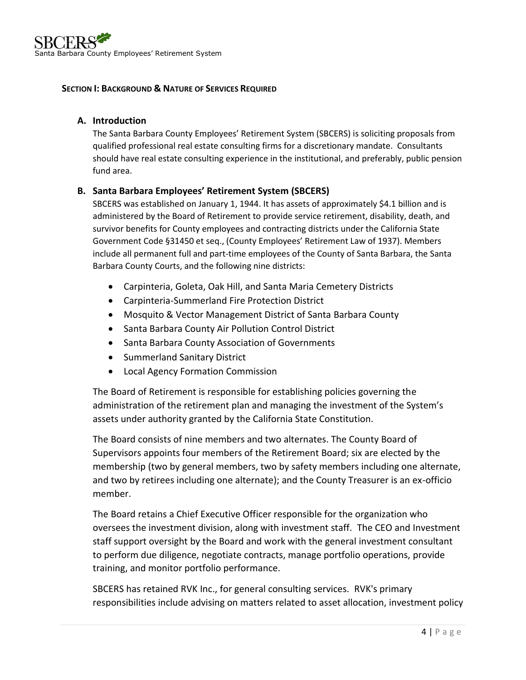#### <span id="page-3-0"></span>**SECTION I: BACKGROUND & NATURE OF SERVICES REQUIRED**

#### <span id="page-3-1"></span>**A. Introduction**

The Santa Barbara County Employees' Retirement System (SBCERS) is soliciting proposals from qualified professional real estate consulting firms for a discretionary mandate. Consultants should have real estate consulting experience in the institutional, and preferably, public pension fund area.

### <span id="page-3-2"></span>**B. Santa Barbara Employees' Retirement System (SBCERS)**

SBCERS was established on January 1, 1944. It has assets of approximately \$4.1 billion and is administered by the Board of Retirement to provide service retirement, disability, death, and survivor benefits for County employees and contracting districts under the California State Government Code §31450 et seq., (County Employees' Retirement Law of 1937). Members include all permanent full and part-time employees of the County of Santa Barbara, the Santa Barbara County Courts, and the following nine districts:

- Carpinteria, Goleta, Oak Hill, and Santa Maria Cemetery Districts
- Carpinteria-Summerland Fire Protection District
- Mosquito & Vector Management District of Santa Barbara County
- Santa Barbara County Air Pollution Control District
- Santa Barbara County Association of Governments
- Summerland Sanitary District
- Local Agency Formation Commission

The Board of Retirement is responsible for establishing policies governing the administration of the retirement plan and managing the investment of the System's assets under authority granted by the California State Constitution.

The Board consists of nine members and two alternates. The County Board of Supervisors appoints four members of the Retirement Board; six are elected by the membership (two by general members, two by safety members including one alternate, and two by retirees including one alternate); and the County Treasurer is an ex-officio member.

The Board retains a Chief Executive Officer responsible for the organization who oversees the investment division, along with investment staff. The CEO and Investment staff support oversight by the Board and work with the general investment consultant to perform due diligence, negotiate contracts, manage portfolio operations, provide training, and monitor portfolio performance.

SBCERS has retained RVK Inc., for general consulting services. RVK's primary responsibilities include advising on matters related to asset allocation, investment policy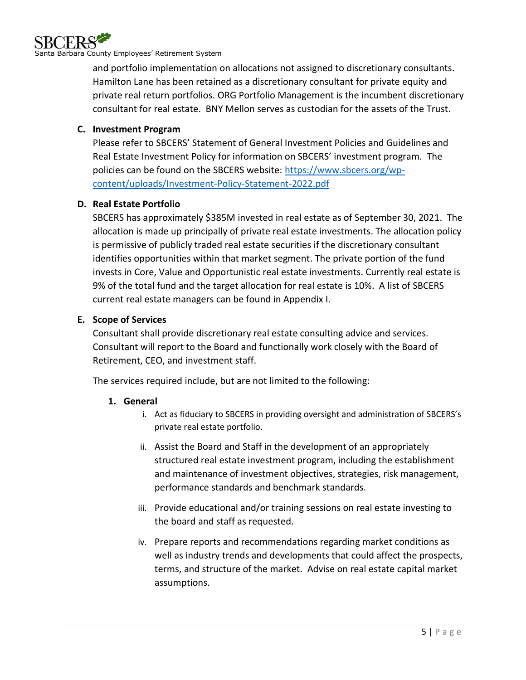

and portfolio implementation on allocations not assigned to discretionary consultants. Hamilton Lane has been retained as a discretionary consultant for private equity and private real return portfolios. ORG Portfolio Management is the incumbent discretionary consultant for real estate. BNY Mellon serves as custodian for the assets of the Trust.

## <span id="page-4-0"></span>**C. Investment Program**

Please refer to SBCERS' Statement of General Investment Policies and Guidelines and Real Estate Investment Policy for information on SBCERS' investment program. The policies can be found on the SBCERS website: [https://www.sbcers.org/wp](https://www.sbcers.org/wp-content/uploads/Investment-Policy-Statement-2022.pdf)[content/uploads/Investment-Policy-Statement-2022.pdf](https://www.sbcers.org/wp-content/uploads/Investment-Policy-Statement-2022.pdf)

### <span id="page-4-1"></span>**D. Real Estate Portfolio**

SBCERS has approximately \$385M invested in real estate as of September 30, 2021. The allocation is made up principally of private real estate investments. The allocation policy is permissive of publicly traded real estate securities if the discretionary consultant identifies opportunities within that market segment. The private portion of the fund invests in Core, Value and Opportunistic real estate investments. Currently real estate is 9% of the total fund and the target allocation for real estate is 10%. A list of SBCERS current real estate managers can be found in Appendix I.

### <span id="page-4-2"></span>**E. Scope of Services**

Consultant shall provide discretionary real estate consulting advice and services. Consultant will report to the Board and functionally work closely with the Board of Retirement, CEO, and investment staff.

<span id="page-4-3"></span>The services required include, but are not limited to the following:

### **1. General**

- i. Act as fiduciary to SBCERS in providing oversight and administration of SBCERS's private real estate portfolio.
- ii. Assist the Board and Staff in the development of an appropriately structured real estate investment program, including the establishment and maintenance of investment objectives, strategies, risk management, performance standards and benchmark standards.
- iii. Provide educational and/or training sessions on real estate investing to the board and staff as requested.
- iv. Prepare reports and recommendations regarding market conditions as well as industry trends and developments that could affect the prospects, terms, and structure of the market. Advise on real estate capital market assumptions.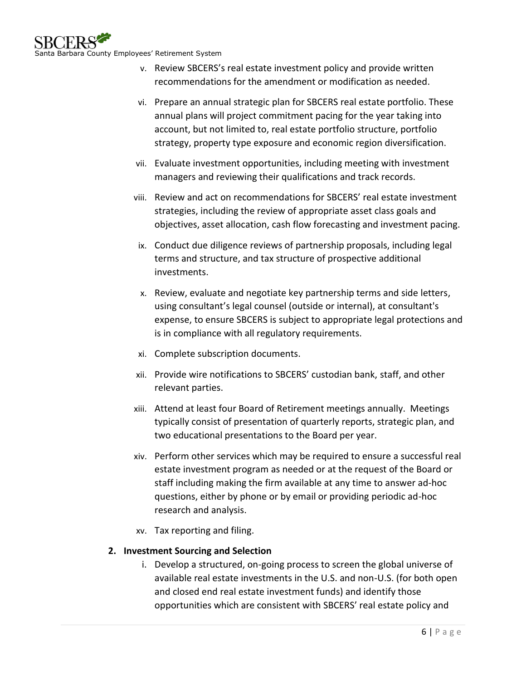

- v. Review SBCERS's real estate investment policy and provide written recommendations for the amendment or modification as needed.
- vi. Prepare an annual strategic plan for SBCERS real estate portfolio. These annual plans will project commitment pacing for the year taking into account, but not limited to, real estate portfolio structure, portfolio strategy, property type exposure and economic region diversification.
- vii. Evaluate investment opportunities, including meeting with investment managers and reviewing their qualifications and track records.
- viii. Review and act on recommendations for SBCERS' real estate investment strategies, including the review of appropriate asset class goals and objectives, asset allocation, cash flow forecasting and investment pacing.
- ix. Conduct due diligence reviews of partnership proposals, including legal terms and structure, and tax structure of prospective additional investments.
- x. Review, evaluate and negotiate key partnership terms and side letters, using consultant's legal counsel (outside or internal), at consultant's expense, to ensure SBCERS is subject to appropriate legal protections and is in compliance with all regulatory requirements.
- xi. Complete subscription documents.
- xii. Provide wire notifications to SBCERS' custodian bank, staff, and other relevant parties.
- xiii. Attend at least four Board of Retirement meetings annually. Meetings typically consist of presentation of quarterly reports, strategic plan, and two educational presentations to the Board per year.
- xiv. Perform other services which may be required to ensure a successful real estate investment program as needed or at the request of the Board or staff including making the firm available at any time to answer ad-hoc questions, either by phone or by email or providing periodic ad-hoc research and analysis.
- xv. Tax reporting and filing.

# <span id="page-5-0"></span>**2. Investment Sourcing and Selection**

i. Develop a structured, on-going process to screen the global universe of available real estate investments in the U.S. and non-U.S. (for both open and closed end real estate investment funds) and identify those opportunities which are consistent with SBCERS' real estate policy and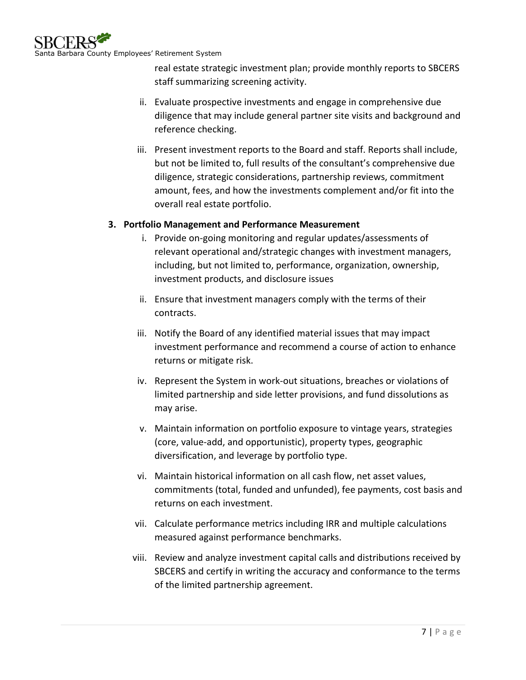real estate strategic investment plan; provide monthly reports to SBCERS staff summarizing screening activity.

- ii. Evaluate prospective investments and engage in comprehensive due diligence that may include general partner site visits and background and reference checking.
- iii. Present investment reports to the Board and staff. Reports shall include, but not be limited to, full results of the consultant's comprehensive due diligence, strategic considerations, partnership reviews, commitment amount, fees, and how the investments complement and/or fit into the overall real estate portfolio.

# <span id="page-6-0"></span>**3. Portfolio Management and Performance Measurement**

- i. Provide on-going monitoring and regular updates/assessments of relevant operational and/strategic changes with investment managers, including, but not limited to, performance, organization, ownership, investment products, and disclosure issues
- ii. Ensure that investment managers comply with the terms of their contracts.
- iii. Notify the Board of any identified material issues that may impact investment performance and recommend a course of action to enhance returns or mitigate risk.
- iv. Represent the System in work-out situations, breaches or violations of limited partnership and side letter provisions, and fund dissolutions as may arise.
- v. Maintain information on portfolio exposure to vintage years, strategies (core, value-add, and opportunistic), property types, geographic diversification, and leverage by portfolio type.
- vi. Maintain historical information on all cash flow, net asset values, commitments (total, funded and unfunded), fee payments, cost basis and returns on each investment.
- vii. Calculate performance metrics including IRR and multiple calculations measured against performance benchmarks.
- viii. Review and analyze investment capital calls and distributions received by SBCERS and certify in writing the accuracy and conformance to the terms of the limited partnership agreement.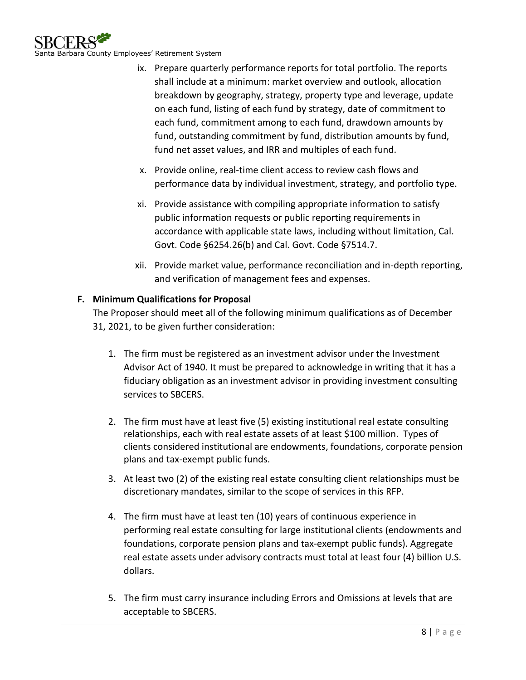

- ix. Prepare quarterly performance reports for total portfolio. The reports shall include at a minimum: market overview and outlook, allocation breakdown by geography, strategy, property type and leverage, update on each fund, listing of each fund by strategy, date of commitment to each fund, commitment among to each fund, drawdown amounts by fund, outstanding commitment by fund, distribution amounts by fund, fund net asset values, and IRR and multiples of each fund.
- x. Provide online, real-time client access to review cash flows and performance data by individual investment, strategy, and portfolio type.
- xi. Provide assistance with compiling appropriate information to satisfy public information requests or public reporting requirements in accordance with applicable state laws, including without limitation, Cal. Govt. Code §6254.26(b) and Cal. Govt. Code §7514.7.
- xii. Provide market value, performance reconciliation and in-depth reporting, and verification of management fees and expenses.

# <span id="page-7-0"></span>**F. Minimum Qualifications for Proposal**

The Proposer should meet all of the following minimum qualifications as of December 31, 2021, to be given further consideration:

- 1. The firm must be registered as an investment advisor under the Investment Advisor Act of 1940. It must be prepared to acknowledge in writing that it has a fiduciary obligation as an investment advisor in providing investment consulting services to SBCERS.
- 2. The firm must have at least five (5) existing institutional real estate consulting relationships, each with real estate assets of at least \$100 million. Types of clients considered institutional are endowments, foundations, corporate pension plans and tax-exempt public funds.
- 3. At least two (2) of the existing real estate consulting client relationships must be discretionary mandates, similar to the scope of services in this RFP.
- 4. The firm must have at least ten (10) years of continuous experience in performing real estate consulting for large institutional clients (endowments and foundations, corporate pension plans and tax-exempt public funds). Aggregate real estate assets under advisory contracts must total at least four (4) billion U.S. dollars.
- 5. The firm must carry insurance including Errors and Omissions at levels that are acceptable to SBCERS.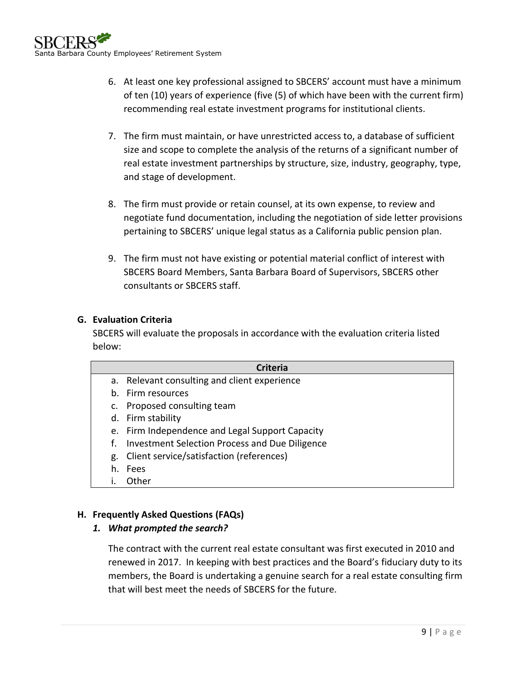- 6. At least one key professional assigned to SBCERS' account must have a minimum of ten (10) years of experience (five (5) of which have been with the current firm) recommending real estate investment programs for institutional clients.
- 7. The firm must maintain, or have unrestricted access to, a database of sufficient size and scope to complete the analysis of the returns of a significant number of real estate investment partnerships by structure, size, industry, geography, type, and stage of development.
- 8. The firm must provide or retain counsel, at its own expense, to review and negotiate fund documentation, including the negotiation of side letter provisions pertaining to SBCERS' unique legal status as a California public pension plan.
- 9. The firm must not have existing or potential material conflict of interest with SBCERS Board Members, Santa Barbara Board of Supervisors, SBCERS other consultants or SBCERS staff.

# <span id="page-8-0"></span>**G. Evaluation Criteria**

SBCERS will evaluate the proposals in accordance with the evaluation criteria listed below:

|    | <b>Criteria</b>                                 |  |  |  |  |  |  |
|----|-------------------------------------------------|--|--|--|--|--|--|
|    | a. Relevant consulting and client experience    |  |  |  |  |  |  |
|    | b. Firm resources                               |  |  |  |  |  |  |
|    | Proposed consulting team                        |  |  |  |  |  |  |
|    | d. Firm stability                               |  |  |  |  |  |  |
|    | e. Firm Independence and Legal Support Capacity |  |  |  |  |  |  |
| f. | Investment Selection Process and Due Diligence  |  |  |  |  |  |  |
| g. | Client service/satisfaction (references)        |  |  |  |  |  |  |
| h. | Fees                                            |  |  |  |  |  |  |
|    | <b>Other</b>                                    |  |  |  |  |  |  |

# <span id="page-8-1"></span>**H. Frequently Asked Questions (FAQs)**

# *1. What prompted the search?*

The contract with the current real estate consultant was first executed in 2010 and renewed in 2017. In keeping with best practices and the Board's fiduciary duty to its members, the Board is undertaking a genuine search for a real estate consulting firm that will best meet the needs of SBCERS for the future.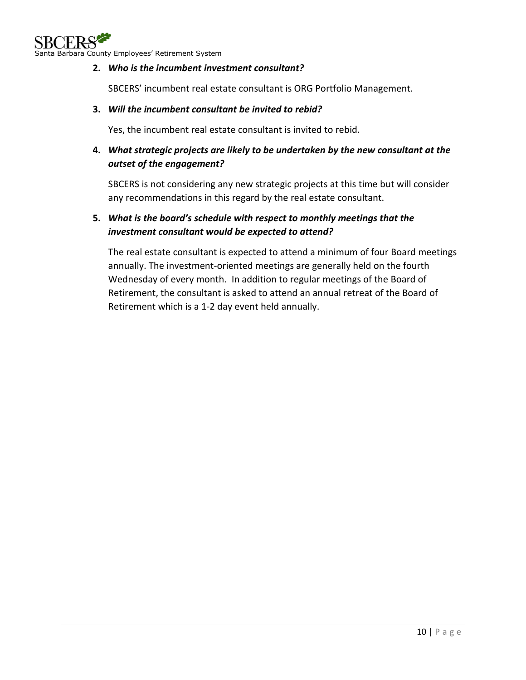

### **2.** *Who is the incumbent investment consultant?*

SBCERS' incumbent real estate consultant is ORG Portfolio Management.

#### **3.** *Will the incumbent consultant be invited to rebid?*

Yes, the incumbent real estate consultant is invited to rebid.

# **4.** *What strategic projects are likely to be undertaken by the new consultant at the outset of the engagement?*

SBCERS is not considering any new strategic projects at this time but will consider any recommendations in this regard by the real estate consultant.

## **5.** *What is the board's schedule with respect to monthly meetings that the investment consultant would be expected to attend?*

The real estate consultant is expected to attend a minimum of four Board meetings annually. The investment-oriented meetings are generally held on the fourth Wednesday of every month. In addition to regular meetings of the Board of Retirement, the consultant is asked to attend an annual retreat of the Board of Retirement which is a 1-2 day event held annually.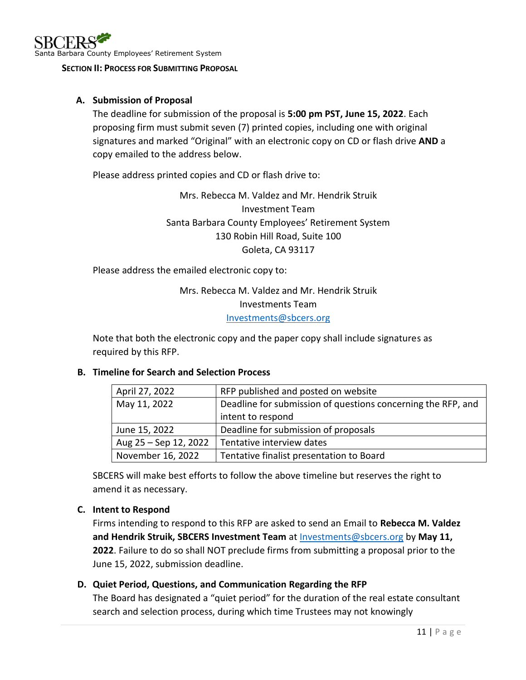#### <span id="page-10-0"></span>**SECTION II: PROCESS FOR SUBMITTING PROPOSAL**

#### <span id="page-10-1"></span>**A. Submission of Proposal**

The deadline for submission of the proposal is **5:00 pm PST, June 15, 2022**. Each proposing firm must submit seven (7) printed copies, including one with original signatures and marked "Original" with an electronic copy on CD or flash drive **AND** a copy emailed to the address below.

Please address printed copies and CD or flash drive to:

Mrs. Rebecca M. Valdez and Mr. Hendrik Struik Investment Team Santa Barbara County Employees' Retirement System 130 Robin Hill Road, Suite 100 Goleta, CA 93117

Please address the emailed electronic copy to:

# Mrs. Rebecca M. Valdez and Mr. Hendrik Struik Investments Team [Investments@sbcers.org](mailto:Investments@sbcers.org)

Note that both the electronic copy and the paper copy shall include signatures as required by this RFP.

### <span id="page-10-2"></span>**B. Timeline for Search and Selection Process**

| April 27, 2022        | RFP published and posted on website                          |
|-----------------------|--------------------------------------------------------------|
| May 11, 2022          | Deadline for submission of questions concerning the RFP, and |
|                       | intent to respond                                            |
| June 15, 2022         | Deadline for submission of proposals                         |
| Aug 25 - Sep 12, 2022 | Tentative interview dates                                    |
| November 16, 2022     | Tentative finalist presentation to Board                     |

SBCERS will make best efforts to follow the above timeline but reserves the right to amend it as necessary.

### <span id="page-10-3"></span>**C. Intent to Respond**

Firms intending to respond to this RFP are asked to send an Email to **Rebecca M. Valdez and Hendrik Struik, SBCERS Investment Team** at [Investments@sbcers.org](mailto:Investments@sbcers.org) by **May 11, 2022**. Failure to do so shall NOT preclude firms from submitting a proposal prior to the June 15, 2022, submission deadline.

### <span id="page-10-4"></span>**D. Quiet Period, Questions, and Communication Regarding the RFP**

The Board has designated a "quiet period" for the duration of the real estate consultant search and selection process, during which time Trustees may not knowingly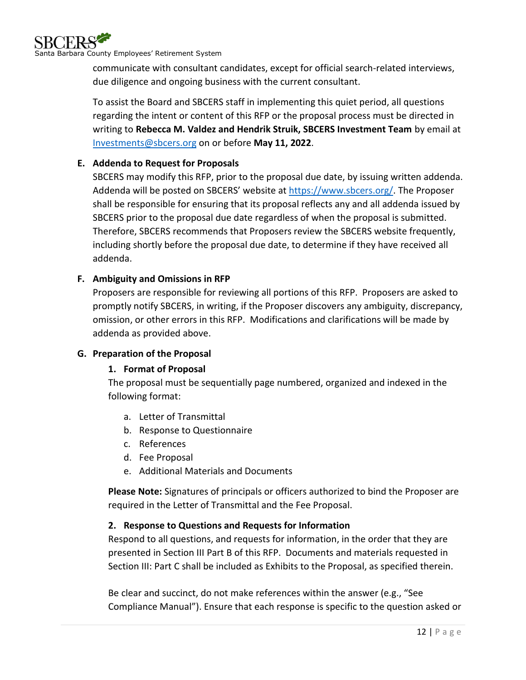

communicate with consultant candidates, except for official search-related interviews, due diligence and ongoing business with the current consultant.

To assist the Board and SBCERS staff in implementing this quiet period, all questions regarding the intent or content of this RFP or the proposal process must be directed in writing to **Rebecca M. Valdez and Hendrik Struik, SBCERS Investment Team** by email at [Investments@sbcers.org](mailto:Investments@sbcers.org) on or before **May 11, 2022**.

## <span id="page-11-0"></span>**E. Addenda to Request for Proposals**

SBCERS may modify this RFP, prior to the proposal due date, by issuing written addenda. Addenda will be posted on SBCERS' website at [https://www.sbcers.org/.](https://www.sbcers.org/) The Proposer shall be responsible for ensuring that its proposal reflects any and all addenda issued by SBCERS prior to the proposal due date regardless of when the proposal is submitted. Therefore, SBCERS recommends that Proposers review the SBCERS website frequently, including shortly before the proposal due date, to determine if they have received all addenda.

### <span id="page-11-1"></span>**F. Ambiguity and Omissions in RFP**

Proposers are responsible for reviewing all portions of this RFP. Proposers are asked to promptly notify SBCERS, in writing, if the Proposer discovers any ambiguity, discrepancy, omission, or other errors in this RFP. Modifications and clarifications will be made by addenda as provided above.

### <span id="page-11-3"></span><span id="page-11-2"></span>**G. Preparation of the Proposal**

### **1. Format of Proposal**

The proposal must be sequentially page numbered, organized and indexed in the following format:

- a. Letter of Transmittal
- b. Response to Questionnaire
- c. References
- d. Fee Proposal
- e. Additional Materials and Documents

**Please Note:** Signatures of principals or officers authorized to bind the Proposer are required in the Letter of Transmittal and the Fee Proposal.

### <span id="page-11-4"></span>**2. Response to Questions and Requests for Information**

Respond to all questions, and requests for information, in the order that they are presented in Section III Part B of this RFP. Documents and materials requested in Section III: Part C shall be included as Exhibits to the Proposal, as specified therein.

Be clear and succinct, do not make references within the answer (e.g., "See Compliance Manual"). Ensure that each response is specific to the question asked or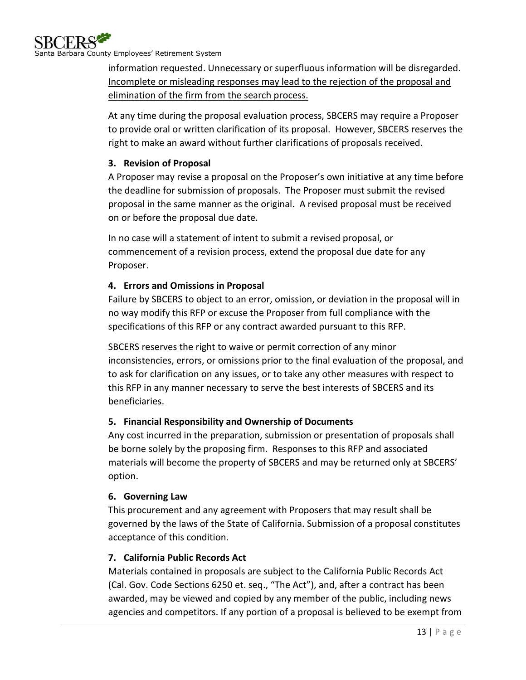

information requested. Unnecessary or superfluous information will be disregarded. Incomplete or misleading responses may lead to the rejection of the proposal and elimination of the firm from the search process.

At any time during the proposal evaluation process, SBCERS may require a Proposer to provide oral or written clarification of its proposal. However, SBCERS reserves the right to make an award without further clarifications of proposals received.

# <span id="page-12-0"></span>**3. Revision of Proposal**

A Proposer may revise a proposal on the Proposer's own initiative at any time before the deadline for submission of proposals. The Proposer must submit the revised proposal in the same manner as the original. A revised proposal must be received on or before the proposal due date.

In no case will a statement of intent to submit a revised proposal, or commencement of a revision process, extend the proposal due date for any Proposer.

### <span id="page-12-1"></span>**4. Errors and Omissions in Proposal**

Failure by SBCERS to object to an error, omission, or deviation in the proposal will in no way modify this RFP or excuse the Proposer from full compliance with the specifications of this RFP or any contract awarded pursuant to this RFP.

SBCERS reserves the right to waive or permit correction of any minor inconsistencies, errors, or omissions prior to the final evaluation of the proposal, and to ask for clarification on any issues, or to take any other measures with respect to this RFP in any manner necessary to serve the best interests of SBCERS and its beneficiaries.

# <span id="page-12-2"></span>**5. Financial Responsibility and Ownership of Documents**

Any cost incurred in the preparation, submission or presentation of proposals shall be borne solely by the proposing firm. Responses to this RFP and associated materials will become the property of SBCERS and may be returned only at SBCERS' option.

### <span id="page-12-3"></span>**6. Governing Law**

This procurement and any agreement with Proposers that may result shall be governed by the laws of the State of California. Submission of a proposal constitutes acceptance of this condition.

# <span id="page-12-4"></span>**7. California Public Records Act**

Materials contained in proposals are subject to the California Public Records Act (Cal. Gov. Code Sections 6250 et. seq., "The Act"), and, after a contract has been awarded, may be viewed and copied by any member of the public, including news agencies and competitors. If any portion of a proposal is believed to be exempt from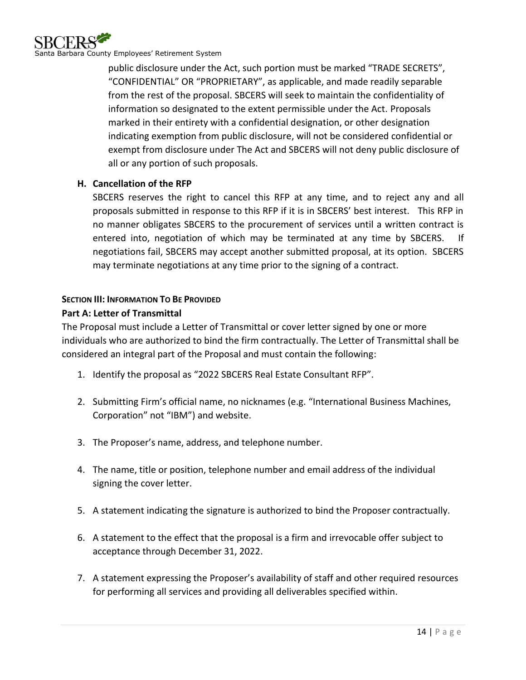

public disclosure under the Act, such portion must be marked "TRADE SECRETS", "CONFIDENTIAL" OR "PROPRIETARY", as applicable, and made readily separable from the rest of the proposal. SBCERS will seek to maintain the confidentiality of information so designated to the extent permissible under the Act. Proposals marked in their entirety with a confidential designation, or other designation indicating exemption from public disclosure, will not be considered confidential or exempt from disclosure under The Act and SBCERS will not deny public disclosure of all or any portion of such proposals.

### <span id="page-13-0"></span>**H. Cancellation of the RFP**

SBCERS reserves the right to cancel this RFP at any time, and to reject any and all proposals submitted in response to this RFP if it is in SBCERS' best interest. This RFP in no manner obligates SBCERS to the procurement of services until a written contract is entered into, negotiation of which may be terminated at any time by SBCERS. If negotiations fail, SBCERS may accept another submitted proposal, at its option. SBCERS may terminate negotiations at any time prior to the signing of a contract.

### <span id="page-13-1"></span>**SECTION III: INFORMATION TO BE PROVIDED**

### <span id="page-13-2"></span>**Part A: Letter of Transmittal**

The Proposal must include a Letter of Transmittal or cover letter signed by one or more individuals who are authorized to bind the firm contractually. The Letter of Transmittal shall be considered an integral part of the Proposal and must contain the following:

- 1. Identify the proposal as "2022 SBCERS Real Estate Consultant RFP".
- 2. Submitting Firm's official name, no nicknames (e.g. "International Business Machines, Corporation" not "IBM") and website.
- 3. The Proposer's name, address, and telephone number.
- 4. The name, title or position, telephone number and email address of the individual signing the cover letter.
- 5. A statement indicating the signature is authorized to bind the Proposer contractually.
- 6. A statement to the effect that the proposal is a firm and irrevocable offer subject to acceptance through December 31, 2022.
- 7. A statement expressing the Proposer's availability of staff and other required resources for performing all services and providing all deliverables specified within.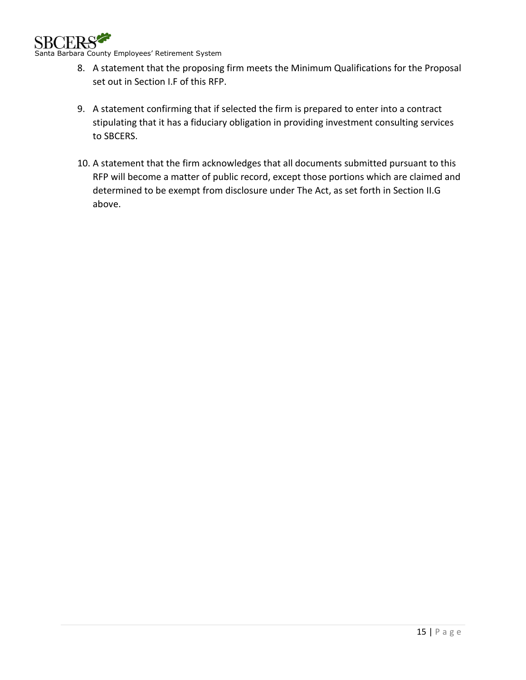

Santa Barbara County Employees' Retirement System

- 8. A statement that the proposing firm meets the Minimum Qualifications for the Proposal set out in Section I.F of this RFP.
- 9. A statement confirming that if selected the firm is prepared to enter into a contract stipulating that it has a fiduciary obligation in providing investment consulting services to SBCERS.
- 10. A statement that the firm acknowledges that all documents submitted pursuant to this RFP will become a matter of public record, except those portions which are claimed and determined to be exempt from disclosure under The Act, as set forth in Section II.G above.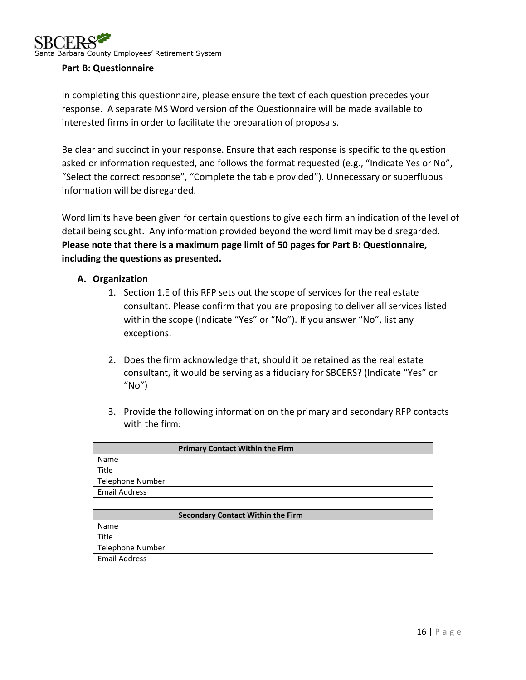

#### <span id="page-15-0"></span>**Part B: Questionnaire**

In completing this questionnaire, please ensure the text of each question precedes your response. A separate MS Word version of the Questionnaire will be made available to interested firms in order to facilitate the preparation of proposals.

Be clear and succinct in your response. Ensure that each response is specific to the question asked or information requested, and follows the format requested (e.g., "Indicate Yes or No", "Select the correct response", "Complete the table provided"). Unnecessary or superfluous information will be disregarded.

Word limits have been given for certain questions to give each firm an indication of the level of detail being sought. Any information provided beyond the word limit may be disregarded. **Please note that there is a maximum page limit of 50 pages for Part B: Questionnaire, including the questions as presented.**

#### <span id="page-15-1"></span>**A. Organization**

- 1. Section 1.E of this RFP sets out the scope of services for the real estate consultant. Please confirm that you are proposing to deliver all services listed within the scope (Indicate "Yes" or "No"). If you answer "No", list any exceptions.
- 2. Does the firm acknowledge that, should it be retained as the real estate consultant, it would be serving as a fiduciary for SBCERS? (Indicate "Yes" or "No")
- 3. Provide the following information on the primary and secondary RFP contacts with the firm:

|                      | <b>Primary Contact Within the Firm</b> |
|----------------------|----------------------------------------|
| Name                 |                                        |
| Title                |                                        |
| Telephone Number     |                                        |
| <b>Email Address</b> |                                        |

|                         | <b>Secondary Contact Within the Firm</b> |
|-------------------------|------------------------------------------|
| Name                    |                                          |
| <b>Title</b>            |                                          |
| <b>Telephone Number</b> |                                          |
| Email Address           |                                          |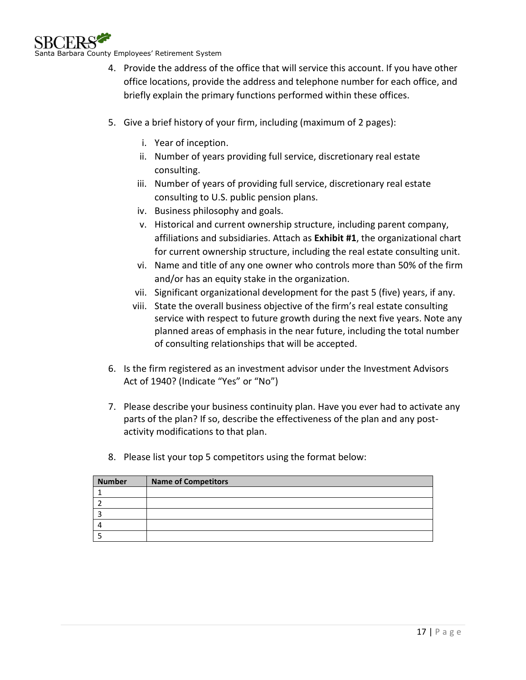

- 4. Provide the address of the office that will service this account. If you have other office locations, provide the address and telephone number for each office, and briefly explain the primary functions performed within these offices.
- 5. Give a brief history of your firm, including (maximum of 2 pages):
	- i. Year of inception.
	- ii. Number of years providing full service, discretionary real estate consulting.
	- iii. Number of years of providing full service, discretionary real estate consulting to U.S. public pension plans.
	- iv. Business philosophy and goals.
	- v. Historical and current ownership structure, including parent company, affiliations and subsidiaries. Attach as **Exhibit #1**, the organizational chart for current ownership structure, including the real estate consulting unit.
	- vi. Name and title of any one owner who controls more than 50% of the firm and/or has an equity stake in the organization.
	- vii. Significant organizational development for the past 5 (five) years, if any.
	- viii. State the overall business objective of the firm's real estate consulting service with respect to future growth during the next five years. Note any planned areas of emphasis in the near future, including the total number of consulting relationships that will be accepted.
- 6. Is the firm registered as an investment advisor under the Investment Advisors Act of 1940? (Indicate "Yes" or "No")
- 7. Please describe your business continuity plan. Have you ever had to activate any parts of the plan? If so, describe the effectiveness of the plan and any postactivity modifications to that plan.
- 8. Please list your top 5 competitors using the format below:

| <b>Number</b> | <b>Name of Competitors</b> |
|---------------|----------------------------|
|               |                            |
|               |                            |
|               |                            |
|               |                            |
|               |                            |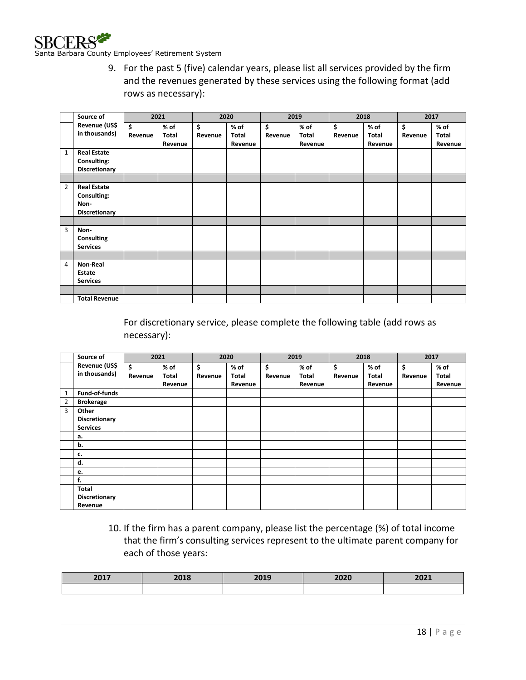

9. For the past 5 (five) calendar years, please list all services provided by the firm and the revenues generated by these services using the following format (add rows as necessary):

|                | Source of                                                         |               | 2021                       |               | 2020                       |               | 2019                     |               | 2018                       |               | 2017                       |
|----------------|-------------------------------------------------------------------|---------------|----------------------------|---------------|----------------------------|---------------|--------------------------|---------------|----------------------------|---------------|----------------------------|
|                | Revenue (US\$<br>in thousands)                                    | \$<br>Revenue | $%$ of<br>Total<br>Revenue | \$<br>Revenue | $%$ of<br>Total<br>Revenue | \$<br>Revenue | % of<br>Total<br>Revenue | \$<br>Revenue | $%$ of<br>Total<br>Revenue | \$<br>Revenue | $%$ of<br>Total<br>Revenue |
| $\mathbf{1}$   | <b>Real Estate</b><br>Consulting:<br>Discretionary                |               |                            |               |                            |               |                          |               |                            |               |                            |
| $\overline{2}$ | <b>Real Estate</b><br>Consulting:<br>Non-<br><b>Discretionary</b> |               |                            |               |                            |               |                          |               |                            |               |                            |
| $\overline{3}$ | Non-<br>Consulting<br><b>Services</b>                             |               |                            |               |                            |               |                          |               |                            |               |                            |
| 4              | Non-Real<br>Estate<br><b>Services</b>                             |               |                            |               |                            |               |                          |               |                            |               |                            |
|                | <b>Total Revenue</b>                                              |               |                            |               |                            |               |                          |               |                            |               |                            |

For discretionary service, please complete the following table (add rows as necessary):

|                | Source of        |         | 2021    |         | 2020    |         | 2019    |         | 2018    |         | 2017    |
|----------------|------------------|---------|---------|---------|---------|---------|---------|---------|---------|---------|---------|
|                | Revenue (US\$    | \$      | % of    | \$      | % of    | \$      | $%$ of  | \$      | $%$ of  | \$      | $%$ of  |
|                | in thousands)    | Revenue | Total   | Revenue | Total   | Revenue | Total   | Revenue | Total   | Revenue | Total   |
|                |                  |         | Revenue |         | Revenue |         | Revenue |         | Revenue |         | Revenue |
| 1              | Fund-of-funds    |         |         |         |         |         |         |         |         |         |         |
| $\overline{2}$ | <b>Brokerage</b> |         |         |         |         |         |         |         |         |         |         |
| 3              | Other            |         |         |         |         |         |         |         |         |         |         |
|                | Discretionary    |         |         |         |         |         |         |         |         |         |         |
|                | <b>Services</b>  |         |         |         |         |         |         |         |         |         |         |
|                | а.               |         |         |         |         |         |         |         |         |         |         |
|                | b.               |         |         |         |         |         |         |         |         |         |         |
|                | c.               |         |         |         |         |         |         |         |         |         |         |
|                | d.               |         |         |         |         |         |         |         |         |         |         |
|                | е.               |         |         |         |         |         |         |         |         |         |         |
|                | f.               |         |         |         |         |         |         |         |         |         |         |
|                | Total            |         |         |         |         |         |         |         |         |         |         |
|                | Discretionary    |         |         |         |         |         |         |         |         |         |         |
|                | Revenue          |         |         |         |         |         |         |         |         |         |         |

10. If the firm has a parent company, please list the percentage (%) of total income that the firm's consulting services represent to the ultimate parent company for each of those years:

| 2017 | 2018 | 3010<br>LUIJ | 2020 | $3031$<br><b>LULL</b> |
|------|------|--------------|------|-----------------------|
|      |      |              |      |                       |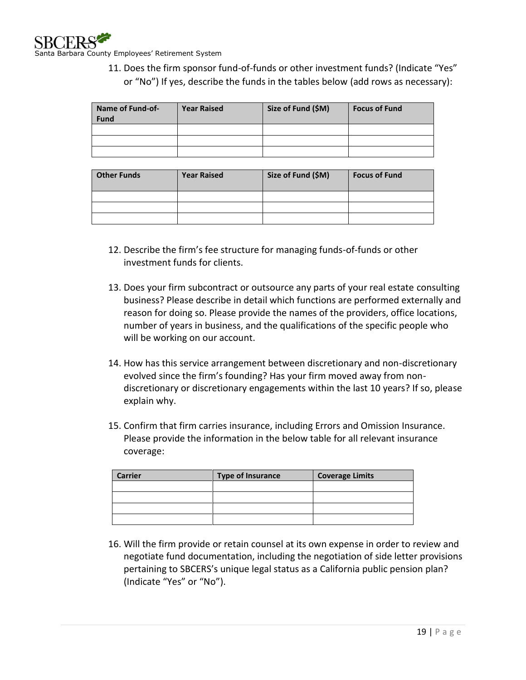11. Does the firm sponsor fund-of-funds or other investment funds? (Indicate "Yes" or "No") If yes, describe the funds in the tables below (add rows as necessary):

| Name of Fund-of-<br><b>Fund</b> | <b>Year Raised</b> | Size of Fund (\$M) | <b>Focus of Fund</b> |
|---------------------------------|--------------------|--------------------|----------------------|
|                                 |                    |                    |                      |
|                                 |                    |                    |                      |
|                                 |                    |                    |                      |

| <b>Other Funds</b> | <b>Year Raised</b> | Size of Fund (\$M) | <b>Focus of Fund</b> |
|--------------------|--------------------|--------------------|----------------------|
|                    |                    |                    |                      |
|                    |                    |                    |                      |
|                    |                    |                    |                      |

- 12. Describe the firm's fee structure for managing funds-of-funds or other investment funds for clients.
- 13. Does your firm subcontract or outsource any parts of your real estate consulting business? Please describe in detail which functions are performed externally and reason for doing so. Please provide the names of the providers, office locations, number of years in business, and the qualifications of the specific people who will be working on our account.
- 14. How has this service arrangement between discretionary and non-discretionary evolved since the firm's founding? Has your firm moved away from nondiscretionary or discretionary engagements within the last 10 years? If so, please explain why.
- 15. Confirm that firm carries insurance, including Errors and Omission Insurance. Please provide the information in the below table for all relevant insurance coverage:

| <b>Carrier</b> | Type of Insurance | <b>Coverage Limits</b> |
|----------------|-------------------|------------------------|
|                |                   |                        |
|                |                   |                        |
|                |                   |                        |
|                |                   |                        |

16. Will the firm provide or retain counsel at its own expense in order to review and negotiate fund documentation, including the negotiation of side letter provisions pertaining to SBCERS's unique legal status as a California public pension plan? (Indicate "Yes" or "No").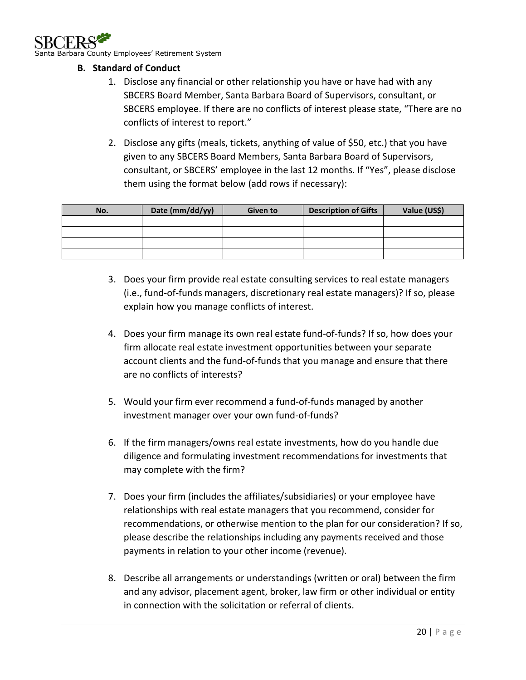

arbara County Employees' Retirement System

- <span id="page-19-0"></span>**B. Standard of Conduct**
	- 1. Disclose any financial or other relationship you have or have had with any SBCERS Board Member, Santa Barbara Board of Supervisors, consultant, or SBCERS employee. If there are no conflicts of interest please state, "There are no conflicts of interest to report."
	- 2. Disclose any gifts (meals, tickets, anything of value of \$50, etc.) that you have given to any SBCERS Board Members, Santa Barbara Board of Supervisors, consultant, or SBCERS' employee in the last 12 months. If "Yes", please disclose them using the format below (add rows if necessary):

| No. | Date (mm/dd/yy) | Given to | <b>Description of Gifts</b> | Value (US\$) |
|-----|-----------------|----------|-----------------------------|--------------|
|     |                 |          |                             |              |
|     |                 |          |                             |              |
|     |                 |          |                             |              |
|     |                 |          |                             |              |

- 3. Does your firm provide real estate consulting services to real estate managers (i.e., fund-of-funds managers, discretionary real estate managers)? If so, please explain how you manage conflicts of interest.
- 4. Does your firm manage its own real estate fund-of-funds? If so, how does your firm allocate real estate investment opportunities between your separate account clients and the fund-of-funds that you manage and ensure that there are no conflicts of interests?
- 5. Would your firm ever recommend a fund-of-funds managed by another investment manager over your own fund-of-funds?
- 6. If the firm managers/owns real estate investments, how do you handle due diligence and formulating investment recommendations for investments that may complete with the firm?
- 7. Does your firm (includes the affiliates/subsidiaries) or your employee have relationships with real estate managers that you recommend, consider for recommendations, or otherwise mention to the plan for our consideration? If so, please describe the relationships including any payments received and those payments in relation to your other income (revenue).
- 8. Describe all arrangements or understandings (written or oral) between the firm and any advisor, placement agent, broker, law firm or other individual or entity in connection with the solicitation or referral of clients.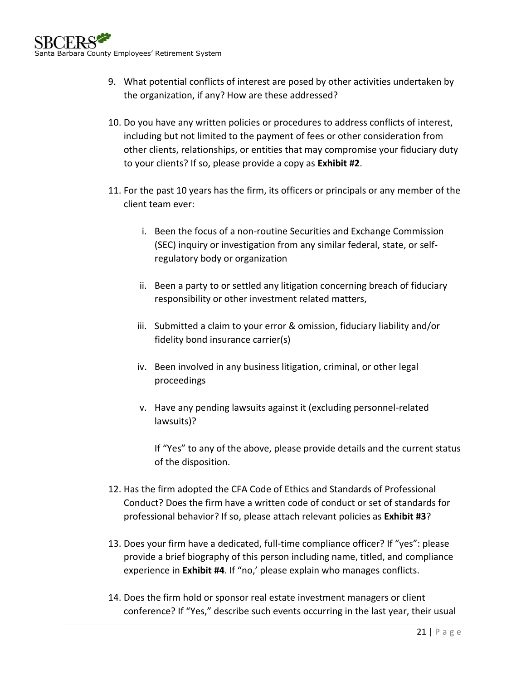- 9. What potential conflicts of interest are posed by other activities undertaken by the organization, if any? How are these addressed?
- 10. Do you have any written policies or procedures to address conflicts of interest, including but not limited to the payment of fees or other consideration from other clients, relationships, or entities that may compromise your fiduciary duty to your clients? If so, please provide a copy as **Exhibit #2**.
- 11. For the past 10 years has the firm, its officers or principals or any member of the client team ever:
	- i. Been the focus of a non-routine Securities and Exchange Commission (SEC) inquiry or investigation from any similar federal, state, or selfregulatory body or organization
	- ii. Been a party to or settled any litigation concerning breach of fiduciary responsibility or other investment related matters,
	- iii. Submitted a claim to your error & omission, fiduciary liability and/or fidelity bond insurance carrier(s)
	- iv. Been involved in any business litigation, criminal, or other legal proceedings
	- v. Have any pending lawsuits against it (excluding personnel-related lawsuits)?

If "Yes" to any of the above, please provide details and the current status of the disposition.

- 12. Has the firm adopted the CFA Code of Ethics and Standards of Professional Conduct? Does the firm have a written code of conduct or set of standards for professional behavior? If so, please attach relevant policies as **Exhibit #3**?
- 13. Does your firm have a dedicated, full-time compliance officer? If "yes": please provide a brief biography of this person including name, titled, and compliance experience in **Exhibit #4**. If "no,' please explain who manages conflicts.
- 14. Does the firm hold or sponsor real estate investment managers or client conference? If "Yes," describe such events occurring in the last year, their usual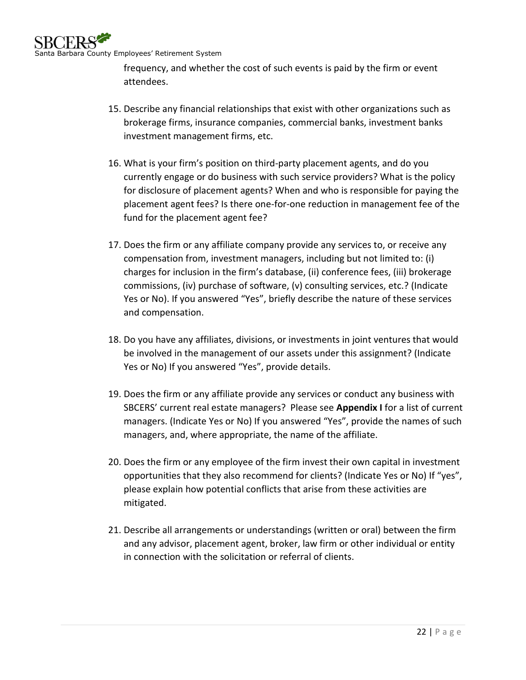

frequency, and whether the cost of such events is paid by the firm or event attendees.

- 15. Describe any financial relationships that exist with other organizations such as brokerage firms, insurance companies, commercial banks, investment banks investment management firms, etc.
- 16. What is your firm's position on third-party placement agents, and do you currently engage or do business with such service providers? What is the policy for disclosure of placement agents? When and who is responsible for paying the placement agent fees? Is there one-for-one reduction in management fee of the fund for the placement agent fee?
- 17. Does the firm or any affiliate company provide any services to, or receive any compensation from, investment managers, including but not limited to: (i) charges for inclusion in the firm's database, (ii) conference fees, (iii) brokerage commissions, (iv) purchase of software, (v) consulting services, etc.? (Indicate Yes or No). If you answered "Yes", briefly describe the nature of these services and compensation.
- 18. Do you have any affiliates, divisions, or investments in joint ventures that would be involved in the management of our assets under this assignment? (Indicate Yes or No) If you answered "Yes", provide details.
- 19. Does the firm or any affiliate provide any services or conduct any business with SBCERS' current real estate managers? Please see **Appendix I** for a list of current managers. (Indicate Yes or No) If you answered "Yes", provide the names of such managers, and, where appropriate, the name of the affiliate.
- 20. Does the firm or any employee of the firm invest their own capital in investment opportunities that they also recommend for clients? (Indicate Yes or No) If "yes", please explain how potential conflicts that arise from these activities are mitigated.
- 21. Describe all arrangements or understandings (written or oral) between the firm and any advisor, placement agent, broker, law firm or other individual or entity in connection with the solicitation or referral of clients.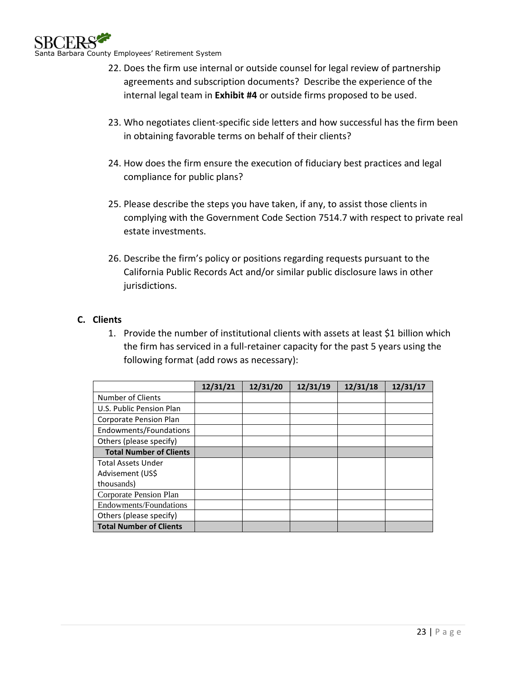

- 22. Does the firm use internal or outside counsel for legal review of partnership agreements and subscription documents? Describe the experience of the internal legal team in **Exhibit #4** or outside firms proposed to be used.
- 23. Who negotiates client-specific side letters and how successful has the firm been in obtaining favorable terms on behalf of their clients?
- 24. How does the firm ensure the execution of fiduciary best practices and legal compliance for public plans?
- 25. Please describe the steps you have taken, if any, to assist those clients in complying with the Government Code Section 7514.7 with respect to private real estate investments.
- 26. Describe the firm's policy or positions regarding requests pursuant to the California Public Records Act and/or similar public disclosure laws in other jurisdictions.

### <span id="page-22-0"></span>**C. Clients**

1. Provide the number of institutional clients with assets at least \$1 billion which the firm has serviced in a full-retainer capacity for the past 5 years using the following format (add rows as necessary):

|                                | 12/31/21 | 12/31/20 | 12/31/19 | 12/31/18 | 12/31/17 |
|--------------------------------|----------|----------|----------|----------|----------|
| Number of Clients              |          |          |          |          |          |
| U.S. Public Pension Plan       |          |          |          |          |          |
| Corporate Pension Plan         |          |          |          |          |          |
| Endowments/Foundations         |          |          |          |          |          |
| Others (please specify)        |          |          |          |          |          |
| <b>Total Number of Clients</b> |          |          |          |          |          |
| <b>Total Assets Under</b>      |          |          |          |          |          |
| Advisement (US\$               |          |          |          |          |          |
| thousands)                     |          |          |          |          |          |
| Corporate Pension Plan         |          |          |          |          |          |
| Endowments/Foundations         |          |          |          |          |          |
| Others (please specify)        |          |          |          |          |          |
| <b>Total Number of Clients</b> |          |          |          |          |          |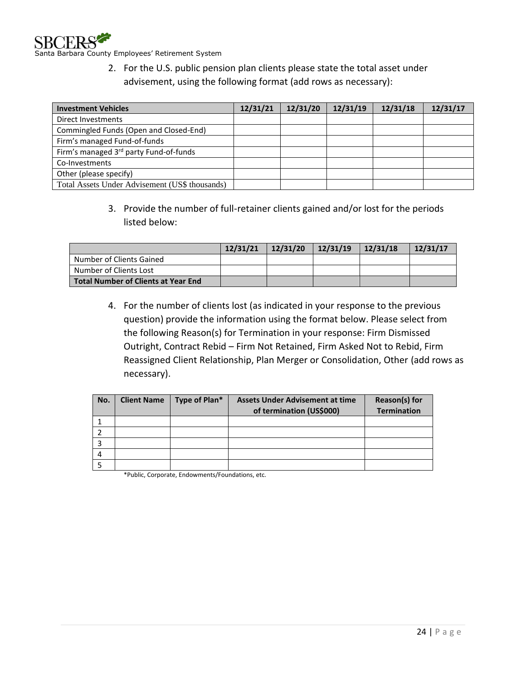

Santa Barbara County Employees' Retirement System

2. For the U.S. public pension plan clients please state the total asset under advisement, using the following format (add rows as necessary):

| <b>Investment Vehicles</b>                     | 12/31/21 | 12/31/20 | 12/31/19 | 12/31/18 | 12/31/17 |
|------------------------------------------------|----------|----------|----------|----------|----------|
| Direct Investments                             |          |          |          |          |          |
| Commingled Funds (Open and Closed-End)         |          |          |          |          |          |
| Firm's managed Fund-of-funds                   |          |          |          |          |          |
| Firm's managed 3rd party Fund-of-funds         |          |          |          |          |          |
| Co-Investments                                 |          |          |          |          |          |
| Other (please specify)                         |          |          |          |          |          |
| Total Assets Under Advisement (US\$ thousands) |          |          |          |          |          |

3. Provide the number of full-retainer clients gained and/or lost for the periods listed below:

|                                            | 12/31/21 | 12/31/20 | 12/31/19 | 12/31/18 | 12/31/17 |
|--------------------------------------------|----------|----------|----------|----------|----------|
| Number of Clients Gained                   |          |          |          |          |          |
| Number of Clients Lost                     |          |          |          |          |          |
| <b>Total Number of Clients at Year End</b> |          |          |          |          |          |

4. For the number of clients lost (as indicated in your response to the previous question) provide the information using the format below. Please select from the following Reason(s) for Termination in your response: Firm Dismissed Outright, Contract Rebid – Firm Not Retained, Firm Asked Not to Rebid, Firm Reassigned Client Relationship, Plan Merger or Consolidation, Other (add rows as necessary).

| No. | <b>Client Name</b> | Type of Plan* | <b>Assets Under Advisement at time</b><br>of termination (US\$000) | Reason(s) for<br><b>Termination</b> |
|-----|--------------------|---------------|--------------------------------------------------------------------|-------------------------------------|
|     |                    |               |                                                                    |                                     |
|     |                    |               |                                                                    |                                     |
|     |                    |               |                                                                    |                                     |
|     |                    |               |                                                                    |                                     |
|     |                    |               |                                                                    |                                     |

\*Public, Corporate, Endowments/Foundations, etc.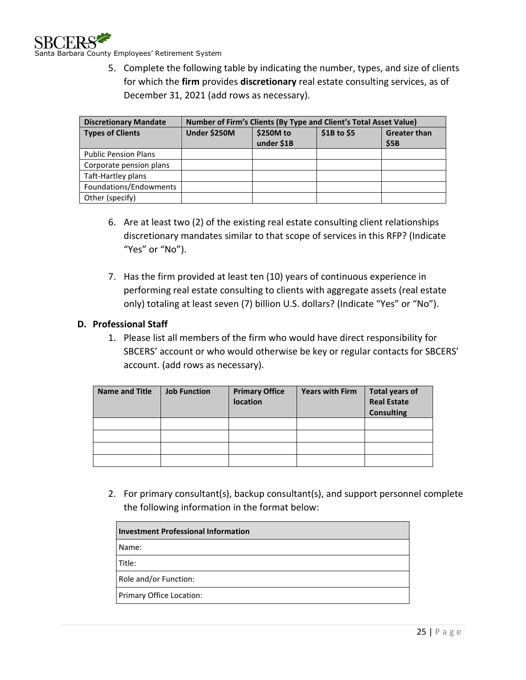

5. Complete the following table by indicating the number, types, and size of clients for which the **firm** provides **discretionary** real estate consulting services, as of December 31, 2021 (add rows as necessary).

| <b>Discretionary Mandate</b> | Number of Firm's Clients (By Type and Client's Total Asset Value) |                                        |  |                             |  |  |
|------------------------------|-------------------------------------------------------------------|----------------------------------------|--|-----------------------------|--|--|
| <b>Types of Clients</b>      | Under \$250M                                                      | \$1B to \$5<br>\$250M to<br>under \$1B |  | <b>Greater than</b><br>\$5B |  |  |
|                              |                                                                   |                                        |  |                             |  |  |
| <b>Public Pension Plans</b>  |                                                                   |                                        |  |                             |  |  |
| Corporate pension plans      |                                                                   |                                        |  |                             |  |  |
| Taft-Hartley plans           |                                                                   |                                        |  |                             |  |  |
| Foundations/Endowments       |                                                                   |                                        |  |                             |  |  |
| Other (specify)              |                                                                   |                                        |  |                             |  |  |

- 6. Are at least two (2) of the existing real estate consulting client relationships discretionary mandates similar to that scope of services in this RFP? (Indicate "Yes" or "No").
- 7. Has the firm provided at least ten (10) years of continuous experience in performing real estate consulting to clients with aggregate assets (real estate only) totaling at least seven (7) billion U.S. dollars? (Indicate "Yes" or "No").

### <span id="page-24-0"></span>**D. Professional Staff**

1. Please list all members of the firm who would have direct responsibility for SBCERS' account or who would otherwise be key or regular contacts for SBCERS' account. (add rows as necessary).

| <b>Name and Title</b> | <b>Job Function</b> | <b>Primary Office</b><br>location | <b>Years with Firm</b> | <b>Total years of</b><br><b>Real Estate</b><br><b>Consulting</b> |
|-----------------------|---------------------|-----------------------------------|------------------------|------------------------------------------------------------------|
|                       |                     |                                   |                        |                                                                  |
|                       |                     |                                   |                        |                                                                  |
|                       |                     |                                   |                        |                                                                  |
|                       |                     |                                   |                        |                                                                  |

2. For primary consultant(s), backup consultant(s), and support personnel complete the following information in the format below:

| <b>Investment Professional Information</b> |
|--------------------------------------------|
| Name:                                      |
| Title:                                     |
| Role and/or Function:                      |
| Primary Office Location:                   |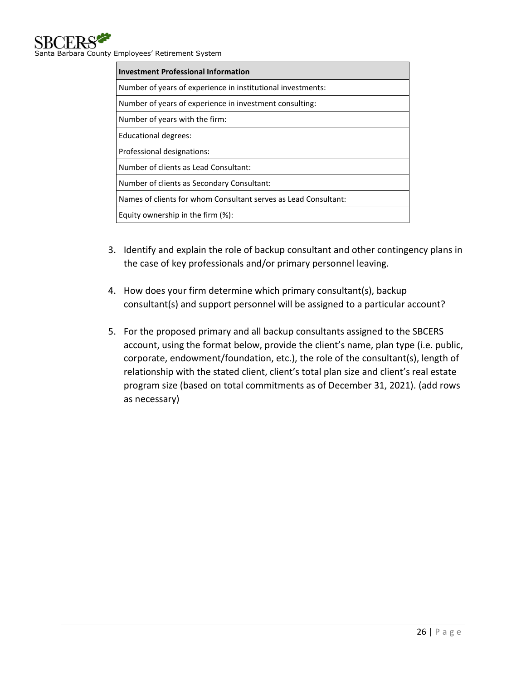| <b>Investment Professional Information</b>                      |
|-----------------------------------------------------------------|
| Number of years of experience in institutional investments:     |
| Number of years of experience in investment consulting:         |
| Number of years with the firm:                                  |
| <b>Educational degrees:</b>                                     |
| Professional designations:                                      |
| Number of clients as Lead Consultant:                           |
| Number of clients as Secondary Consultant:                      |
| Names of clients for whom Consultant serves as Lead Consultant: |
| Equity ownership in the firm $(\%)$ :                           |

- 3. Identify and explain the role of backup consultant and other contingency plans in the case of key professionals and/or primary personnel leaving.
- 4. How does your firm determine which primary consultant(s), backup consultant(s) and support personnel will be assigned to a particular account?
- 5. For the proposed primary and all backup consultants assigned to the SBCERS account, using the format below, provide the client's name, plan type (i.e. public, corporate, endowment/foundation, etc.), the role of the consultant(s), length of relationship with the stated client, client's total plan size and client's real estate program size (based on total commitments as of December 31, 2021). (add rows as necessary)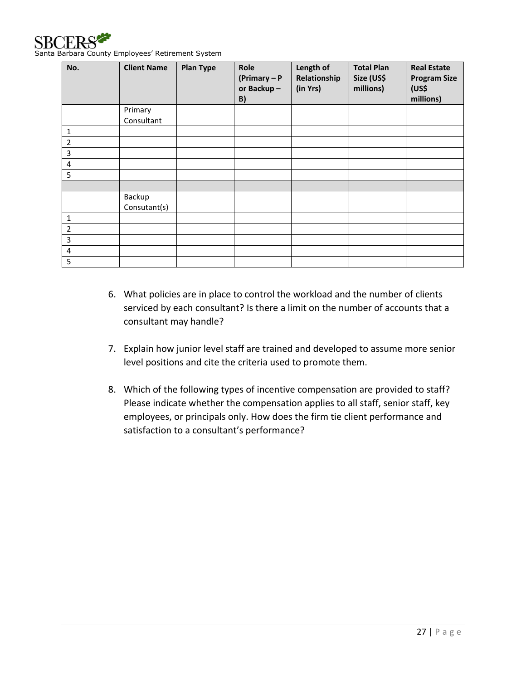

Santa Barbara County Employees' Retirement System

| No.            | <b>Client Name</b>     | <b>Plan Type</b> | Role<br>$(Primary - P)$<br>or Backup-<br>B) | Length of<br>Relationship<br>(in Yrs) | <b>Total Plan</b><br>Size (US\$<br>millions) | <b>Real Estate</b><br><b>Program Size</b><br>(US\$<br>millions) |
|----------------|------------------------|------------------|---------------------------------------------|---------------------------------------|----------------------------------------------|-----------------------------------------------------------------|
|                | Primary                |                  |                                             |                                       |                                              |                                                                 |
|                | Consultant             |                  |                                             |                                       |                                              |                                                                 |
| $\mathbf{1}$   |                        |                  |                                             |                                       |                                              |                                                                 |
| $\overline{2}$ |                        |                  |                                             |                                       |                                              |                                                                 |
| 3              |                        |                  |                                             |                                       |                                              |                                                                 |
| $\pmb{4}$      |                        |                  |                                             |                                       |                                              |                                                                 |
| 5              |                        |                  |                                             |                                       |                                              |                                                                 |
|                |                        |                  |                                             |                                       |                                              |                                                                 |
|                | Backup<br>Consutant(s) |                  |                                             |                                       |                                              |                                                                 |
| $\mathbf{1}$   |                        |                  |                                             |                                       |                                              |                                                                 |
| $\overline{2}$ |                        |                  |                                             |                                       |                                              |                                                                 |
| 3              |                        |                  |                                             |                                       |                                              |                                                                 |
| 4              |                        |                  |                                             |                                       |                                              |                                                                 |
| 5              |                        |                  |                                             |                                       |                                              |                                                                 |

- 6. What policies are in place to control the workload and the number of clients serviced by each consultant? Is there a limit on the number of accounts that a consultant may handle?
- 7. Explain how junior level staff are trained and developed to assume more senior level positions and cite the criteria used to promote them.
- 8. Which of the following types of incentive compensation are provided to staff? Please indicate whether the compensation applies to all staff, senior staff, key employees, or principals only. How does the firm tie client performance and satisfaction to a consultant's performance?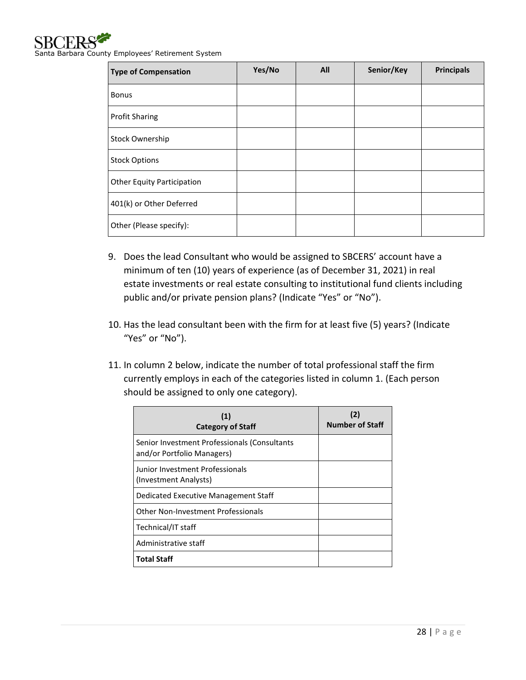

| <b>Type of Compensation</b>       | Yes/No | All | Senior/Key | <b>Principals</b> |
|-----------------------------------|--------|-----|------------|-------------------|
| <b>Bonus</b>                      |        |     |            |                   |
| <b>Profit Sharing</b>             |        |     |            |                   |
| Stock Ownership                   |        |     |            |                   |
| <b>Stock Options</b>              |        |     |            |                   |
| <b>Other Equity Participation</b> |        |     |            |                   |
| 401(k) or Other Deferred          |        |     |            |                   |
| Other (Please specify):           |        |     |            |                   |

- 9. Does the lead Consultant who would be assigned to SBCERS' account have a minimum of ten (10) years of experience (as of December 31, 2021) in real estate investments or real estate consulting to institutional fund clients including public and/or private pension plans? (Indicate "Yes" or "No").
- 10. Has the lead consultant been with the firm for at least five (5) years? (Indicate "Yes" or "No").
- 11. In column 2 below, indicate the number of total professional staff the firm currently employs in each of the categories listed in column 1. (Each person should be assigned to only one category).

| (1)<br><b>Category of Staff</b>                                            | (2)<br><b>Number of Staff</b> |
|----------------------------------------------------------------------------|-------------------------------|
| Senior Investment Professionals (Consultants<br>and/or Portfolio Managers) |                               |
| Junior Investment Professionals<br>(Investment Analysts)                   |                               |
| Dedicated Executive Management Staff                                       |                               |
| Other Non-Investment Professionals                                         |                               |
| Technical/IT staff                                                         |                               |
| Administrative staff                                                       |                               |
| <b>Total Staff</b>                                                         |                               |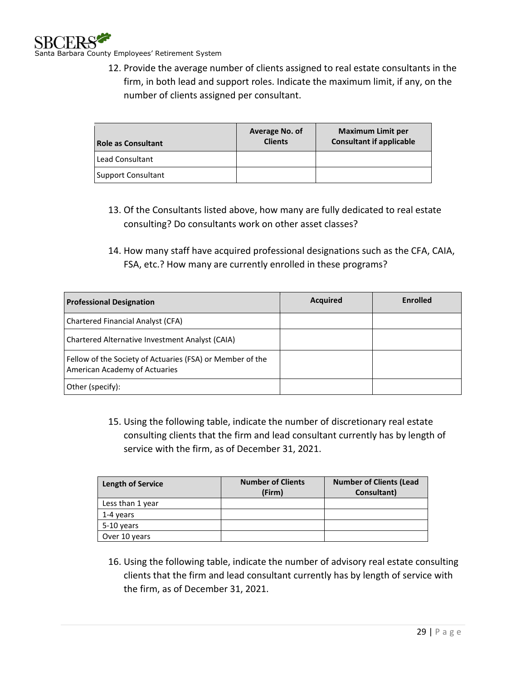

12. Provide the average number of clients assigned to real estate consultants in the firm, in both lead and support roles. Indicate the maximum limit, if any, on the number of clients assigned per consultant.

| <b>Role as Consultant</b> | Average No. of<br><b>Clients</b> | <b>Maximum Limit per</b><br><b>Consultant if applicable</b> |
|---------------------------|----------------------------------|-------------------------------------------------------------|
| Lead Consultant           |                                  |                                                             |
| <b>Support Consultant</b> |                                  |                                                             |

- 13. Of the Consultants listed above, how many are fully dedicated to real estate consulting? Do consultants work on other asset classes?
- 14. How many staff have acquired professional designations such as the CFA, CAIA, FSA, etc.? How many are currently enrolled in these programs?

| <b>Professional Designation</b>                                                            | <b>Acquired</b> | <b>Enrolled</b> |
|--------------------------------------------------------------------------------------------|-----------------|-----------------|
| <b>Chartered Financial Analyst (CFA)</b>                                                   |                 |                 |
| Chartered Alternative Investment Analyst (CAIA)                                            |                 |                 |
| Fellow of the Society of Actuaries (FSA) or Member of the<br>American Academy of Actuaries |                 |                 |
| Other (specify):                                                                           |                 |                 |

15. Using the following table, indicate the number of discretionary real estate consulting clients that the firm and lead consultant currently has by length of service with the firm, as of December 31, 2021.

|                          | <b>Number of Clients</b> | <b>Number of Clients (Lead</b> |  |
|--------------------------|--------------------------|--------------------------------|--|
| <b>Length of Service</b> | (Firm)                   | Consultant)                    |  |
| Less than 1 year         |                          |                                |  |
| 1-4 years                |                          |                                |  |
| 5-10 years               |                          |                                |  |
| Over 10 years            |                          |                                |  |
|                          |                          |                                |  |

16. Using the following table, indicate the number of advisory real estate consulting clients that the firm and lead consultant currently has by length of service with the firm, as of December 31, 2021.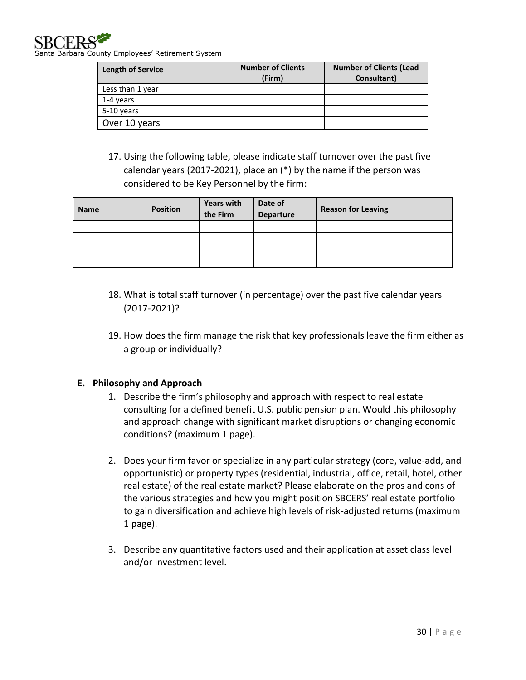

a Barbara County Employees' Retirement System

| <b>Length of Service</b> | <b>Number of Clients</b><br>(Firm) | <b>Number of Clients (Lead</b><br>Consultant) |
|--------------------------|------------------------------------|-----------------------------------------------|
| Less than 1 year         |                                    |                                               |
| 1-4 years                |                                    |                                               |
| 5-10 years               |                                    |                                               |
| Over 10 years            |                                    |                                               |

17. Using the following table, please indicate staff turnover over the past five calendar years (2017-2021), place an (\*) by the name if the person was considered to be Key Personnel by the firm:

| <b>Name</b> | <b>Position</b> | <b>Years with</b><br>the Firm | Date of<br><b>Departure</b> | <b>Reason for Leaving</b> |
|-------------|-----------------|-------------------------------|-----------------------------|---------------------------|
|             |                 |                               |                             |                           |
|             |                 |                               |                             |                           |
|             |                 |                               |                             |                           |
|             |                 |                               |                             |                           |

- 18. What is total staff turnover (in percentage) over the past five calendar years (2017-2021)?
- 19. How does the firm manage the risk that key professionals leave the firm either as a group or individually?

### <span id="page-29-0"></span>**E. Philosophy and Approach**

- 1. Describe the firm's philosophy and approach with respect to real estate consulting for a defined benefit U.S. public pension plan. Would this philosophy and approach change with significant market disruptions or changing economic conditions? (maximum 1 page).
- 2. Does your firm favor or specialize in any particular strategy (core, value-add, and opportunistic) or property types (residential, industrial, office, retail, hotel, other real estate) of the real estate market? Please elaborate on the pros and cons of the various strategies and how you might position SBCERS' real estate portfolio to gain diversification and achieve high levels of risk-adjusted returns (maximum 1 page).
- 3. Describe any quantitative factors used and their application at asset class level and/or investment level.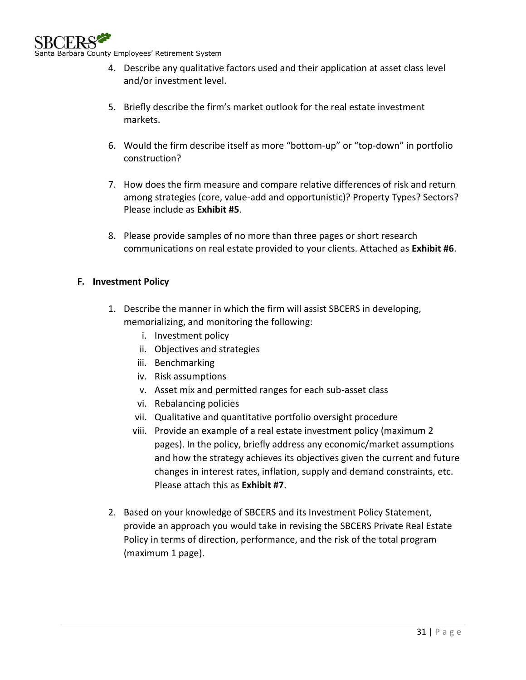

- 4. Describe any qualitative factors used and their application at asset class level and/or investment level.
- 5. Briefly describe the firm's market outlook for the real estate investment markets.
- 6. Would the firm describe itself as more "bottom-up" or "top-down" in portfolio construction?
- 7. How does the firm measure and compare relative differences of risk and return among strategies (core, value-add and opportunistic)? Property Types? Sectors? Please include as **Exhibit #5**.
- 8. Please provide samples of no more than three pages or short research communications on real estate provided to your clients. Attached as **Exhibit #6**.

# <span id="page-30-0"></span>**F. Investment Policy**

- 1. Describe the manner in which the firm will assist SBCERS in developing, memorializing, and monitoring the following:
	- i. Investment policy
	- ii. Objectives and strategies
	- iii. Benchmarking
	- iv. Risk assumptions
	- v. Asset mix and permitted ranges for each sub-asset class
	- vi. Rebalancing policies
	- vii. Qualitative and quantitative portfolio oversight procedure
	- viii. Provide an example of a real estate investment policy (maximum 2 pages). In the policy, briefly address any economic/market assumptions and how the strategy achieves its objectives given the current and future changes in interest rates, inflation, supply and demand constraints, etc. Please attach this as **Exhibit #7**.
- 2. Based on your knowledge of SBCERS and its Investment Policy Statement, provide an approach you would take in revising the SBCERS Private Real Estate Policy in terms of direction, performance, and the risk of the total program (maximum 1 page).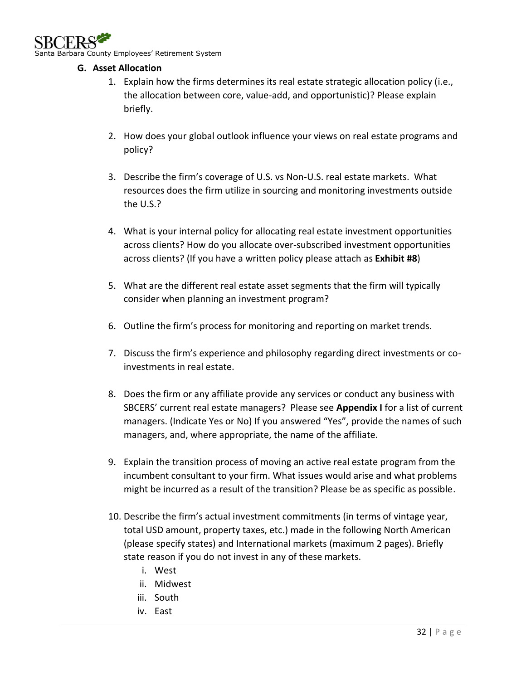

arbara County Employees' Retirement System

### <span id="page-31-0"></span>**G. Asset Allocation**

- 1. Explain how the firms determines its real estate strategic allocation policy (i.e., the allocation between core, value-add, and opportunistic)? Please explain briefly.
- 2. How does your global outlook influence your views on real estate programs and policy?
- 3. Describe the firm's coverage of U.S. vs Non-U.S. real estate markets. What resources does the firm utilize in sourcing and monitoring investments outside the U.S.?
- 4. What is your internal policy for allocating real estate investment opportunities across clients? How do you allocate over-subscribed investment opportunities across clients? (If you have a written policy please attach as **Exhibit #8**)
- 5. What are the different real estate asset segments that the firm will typically consider when planning an investment program?
- 6. Outline the firm's process for monitoring and reporting on market trends.
- 7. Discuss the firm's experience and philosophy regarding direct investments or coinvestments in real estate.
- 8. Does the firm or any affiliate provide any services or conduct any business with SBCERS' current real estate managers? Please see **Appendix I** for a list of current managers. (Indicate Yes or No) If you answered "Yes", provide the names of such managers, and, where appropriate, the name of the affiliate.
- 9. Explain the transition process of moving an active real estate program from the incumbent consultant to your firm. What issues would arise and what problems might be incurred as a result of the transition? Please be as specific as possible.
- 10. Describe the firm's actual investment commitments (in terms of vintage year, total USD amount, property taxes, etc.) made in the following North American (please specify states) and International markets (maximum 2 pages). Briefly state reason if you do not invest in any of these markets.
	- i. West
	- ii. Midwest
	- iii. South
	- iv. East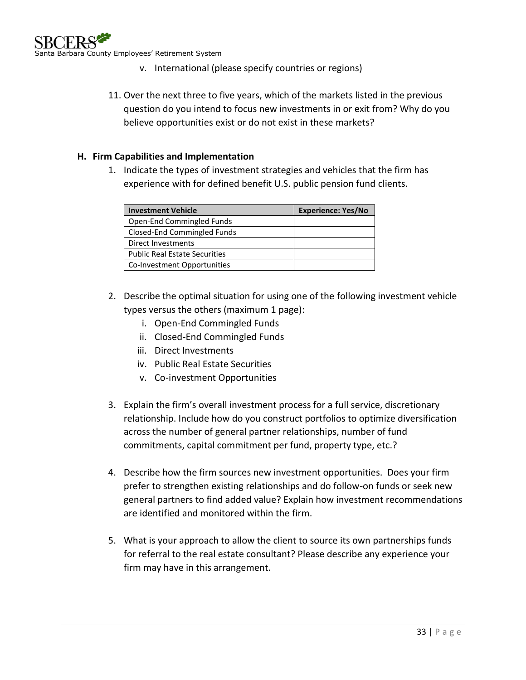

- v. International (please specify countries or regions)
- 11. Over the next three to five years, which of the markets listed in the previous question do you intend to focus new investments in or exit from? Why do you believe opportunities exist or do not exist in these markets?

### <span id="page-32-0"></span>**H. Firm Capabilities and Implementation**

1. Indicate the types of investment strategies and vehicles that the firm has experience with for defined benefit U.S. public pension fund clients.

| <b>Investment Vehicle</b>            | <b>Experience: Yes/No</b> |
|--------------------------------------|---------------------------|
| Open-End Commingled Funds            |                           |
| Closed-End Commingled Funds          |                           |
| Direct Investments                   |                           |
| <b>Public Real Estate Securities</b> |                           |
| Co-Investment Opportunities          |                           |

- 2. Describe the optimal situation for using one of the following investment vehicle types versus the others (maximum 1 page):
	- i. Open-End Commingled Funds
	- ii. Closed-End Commingled Funds
	- iii. Direct Investments
	- iv. Public Real Estate Securities
	- v. Co-investment Opportunities
- 3. Explain the firm's overall investment process for a full service, discretionary relationship. Include how do you construct portfolios to optimize diversification across the number of general partner relationships, number of fund commitments, capital commitment per fund, property type, etc.?
- 4. Describe how the firm sources new investment opportunities. Does your firm prefer to strengthen existing relationships and do follow-on funds or seek new general partners to find added value? Explain how investment recommendations are identified and monitored within the firm.
- 5. What is your approach to allow the client to source its own partnerships funds for referral to the real estate consultant? Please describe any experience your firm may have in this arrangement.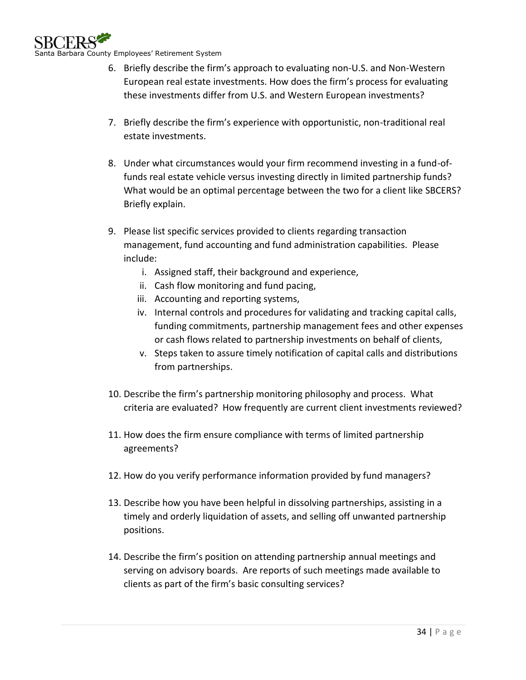

- 6. Briefly describe the firm's approach to evaluating non-U.S. and Non-Western European real estate investments. How does the firm's process for evaluating these investments differ from U.S. and Western European investments?
- 7. Briefly describe the firm's experience with opportunistic, non-traditional real estate investments.
- 8. Under what circumstances would your firm recommend investing in a fund-offunds real estate vehicle versus investing directly in limited partnership funds? What would be an optimal percentage between the two for a client like SBCERS? Briefly explain.
- 9. Please list specific services provided to clients regarding transaction management, fund accounting and fund administration capabilities. Please include:
	- i. Assigned staff, their background and experience,
	- ii. Cash flow monitoring and fund pacing,
	- iii. Accounting and reporting systems,
	- iv. Internal controls and procedures for validating and tracking capital calls, funding commitments, partnership management fees and other expenses or cash flows related to partnership investments on behalf of clients,
	- v. Steps taken to assure timely notification of capital calls and distributions from partnerships.
- 10. Describe the firm's partnership monitoring philosophy and process. What criteria are evaluated? How frequently are current client investments reviewed?
- 11. How does the firm ensure compliance with terms of limited partnership agreements?
- 12. How do you verify performance information provided by fund managers?
- 13. Describe how you have been helpful in dissolving partnerships, assisting in a timely and orderly liquidation of assets, and selling off unwanted partnership positions.
- 14. Describe the firm's position on attending partnership annual meetings and serving on advisory boards. Are reports of such meetings made available to clients as part of the firm's basic consulting services?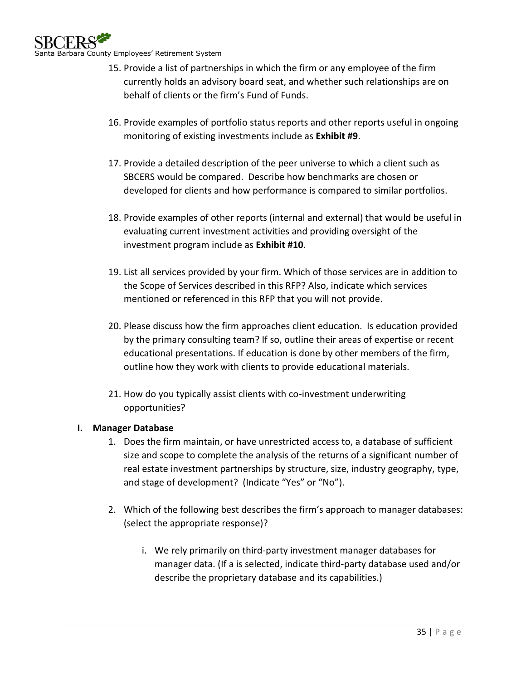

- 15. Provide a list of partnerships in which the firm or any employee of the firm currently holds an advisory board seat, and whether such relationships are on behalf of clients or the firm's Fund of Funds.
- 16. Provide examples of portfolio status reports and other reports useful in ongoing monitoring of existing investments include as **Exhibit #9**.
- 17. Provide a detailed description of the peer universe to which a client such as SBCERS would be compared. Describe how benchmarks are chosen or developed for clients and how performance is compared to similar portfolios.
- 18. Provide examples of other reports (internal and external) that would be useful in evaluating current investment activities and providing oversight of the investment program include as **Exhibit #10**.
- 19. List all services provided by your firm. Which of those services are in addition to the Scope of Services described in this RFP? Also, indicate which services mentioned or referenced in this RFP that you will not provide.
- 20. Please discuss how the firm approaches client education. Is education provided by the primary consulting team? If so, outline their areas of expertise or recent educational presentations. If education is done by other members of the firm, outline how they work with clients to provide educational materials.
- 21. How do you typically assist clients with co-investment underwriting opportunities?

# <span id="page-34-0"></span>**I. Manager Database**

- 1. Does the firm maintain, or have unrestricted access to, a database of sufficient size and scope to complete the analysis of the returns of a significant number of real estate investment partnerships by structure, size, industry geography, type, and stage of development? (Indicate "Yes" or "No").
- 2. Which of the following best describes the firm's approach to manager databases: (select the appropriate response)?
	- i. We rely primarily on third-party investment manager databases for manager data. (If a is selected, indicate third-party database used and/or describe the proprietary database and its capabilities.)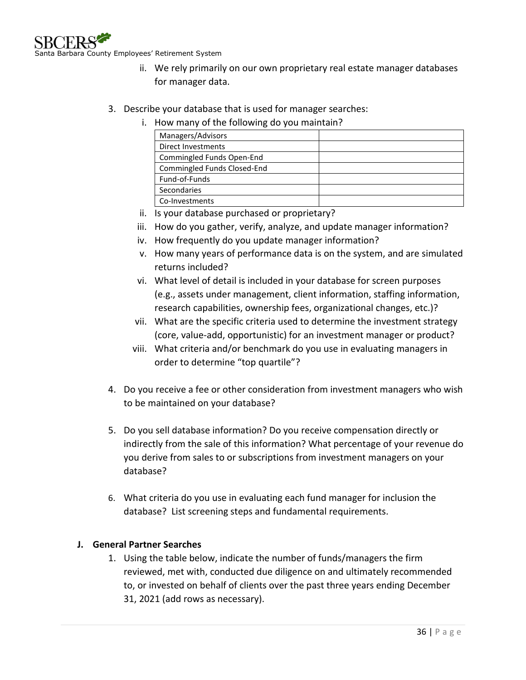

- ii. We rely primarily on our own proprietary real estate manager databases for manager data.
- 3. Describe your database that is used for manager searches:
	- i. How many of the following do you maintain?

| Managers/Advisors           |  |
|-----------------------------|--|
| Direct Investments          |  |
| Commingled Funds Open-End   |  |
| Commingled Funds Closed-End |  |
| Fund-of-Funds               |  |
| <b>Secondaries</b>          |  |
| Co-Investments              |  |

- ii. Is your database purchased or proprietary?
- iii. How do you gather, verify, analyze, and update manager information?
- iv. How frequently do you update manager information?
- v. How many years of performance data is on the system, and are simulated returns included?
- vi. What level of detail is included in your database for screen purposes (e.g., assets under management, client information, staffing information, research capabilities, ownership fees, organizational changes, etc.)?
- vii. What are the specific criteria used to determine the investment strategy (core, value-add, opportunistic) for an investment manager or product?
- viii. What criteria and/or benchmark do you use in evaluating managers in order to determine "top quartile"?
- 4. Do you receive a fee or other consideration from investment managers who wish to be maintained on your database?
- 5. Do you sell database information? Do you receive compensation directly or indirectly from the sale of this information? What percentage of your revenue do you derive from sales to or subscriptions from investment managers on your database?
- 6. What criteria do you use in evaluating each fund manager for inclusion the database? List screening steps and fundamental requirements.

### <span id="page-35-0"></span>**J. General Partner Searches**

1. Using the table below, indicate the number of funds/managers the firm reviewed, met with, conducted due diligence on and ultimately recommended to, or invested on behalf of clients over the past three years ending December 31, 2021 (add rows as necessary).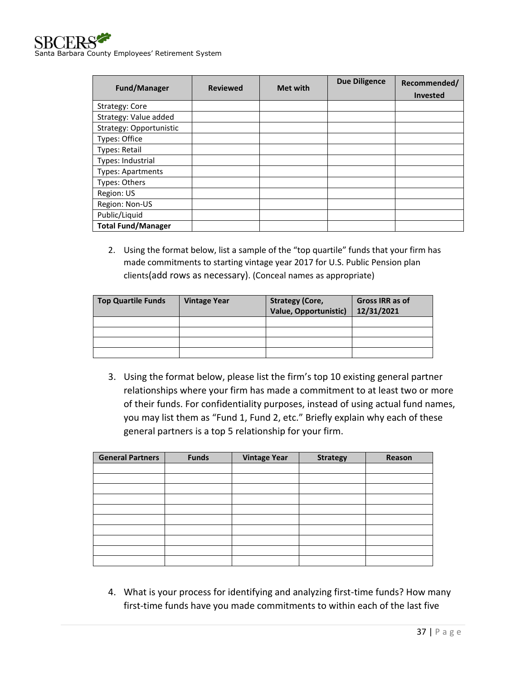

| <b>Fund/Manager</b>       | <b>Reviewed</b> | <b>Met with</b> | <b>Due Diligence</b> | Recommended/<br><b>Invested</b> |
|---------------------------|-----------------|-----------------|----------------------|---------------------------------|
| Strategy: Core            |                 |                 |                      |                                 |
| Strategy: Value added     |                 |                 |                      |                                 |
| Strategy: Opportunistic   |                 |                 |                      |                                 |
| Types: Office             |                 |                 |                      |                                 |
| <b>Types: Retail</b>      |                 |                 |                      |                                 |
| Types: Industrial         |                 |                 |                      |                                 |
| <b>Types: Apartments</b>  |                 |                 |                      |                                 |
| Types: Others             |                 |                 |                      |                                 |
| Region: US                |                 |                 |                      |                                 |
| Region: Non-US            |                 |                 |                      |                                 |
| Public/Liquid             |                 |                 |                      |                                 |
| <b>Total Fund/Manager</b> |                 |                 |                      |                                 |

2. Using the format below, list a sample of the "top quartile" funds that your firm has made commitments to starting vintage year 2017 for U.S. Public Pension plan clients(add rows as necessary). (Conceal names as appropriate)

| <b>Top Quartile Funds</b> | <b>Vintage Year</b> | <b>Strategy (Core,</b><br>Value, Opportunistic) | <b>Gross IRR as of</b><br>12/31/2021 |
|---------------------------|---------------------|-------------------------------------------------|--------------------------------------|
|                           |                     |                                                 |                                      |
|                           |                     |                                                 |                                      |
|                           |                     |                                                 |                                      |
|                           |                     |                                                 |                                      |

3. Using the format below, please list the firm's top 10 existing general partner relationships where your firm has made a commitment to at least two or more of their funds. For confidentiality purposes, instead of using actual fund names, you may list them as "Fund 1, Fund 2, etc." Briefly explain why each of these general partners is a top 5 relationship for your firm.

| <b>General Partners</b> | <b>Funds</b> | <b>Vintage Year</b> | <b>Strategy</b> | Reason |
|-------------------------|--------------|---------------------|-----------------|--------|
|                         |              |                     |                 |        |
|                         |              |                     |                 |        |
|                         |              |                     |                 |        |
|                         |              |                     |                 |        |
|                         |              |                     |                 |        |
|                         |              |                     |                 |        |
|                         |              |                     |                 |        |
|                         |              |                     |                 |        |
|                         |              |                     |                 |        |
|                         |              |                     |                 |        |

4. What is your process for identifying and analyzing first-time funds? How many first-time funds have you made commitments to within each of the last five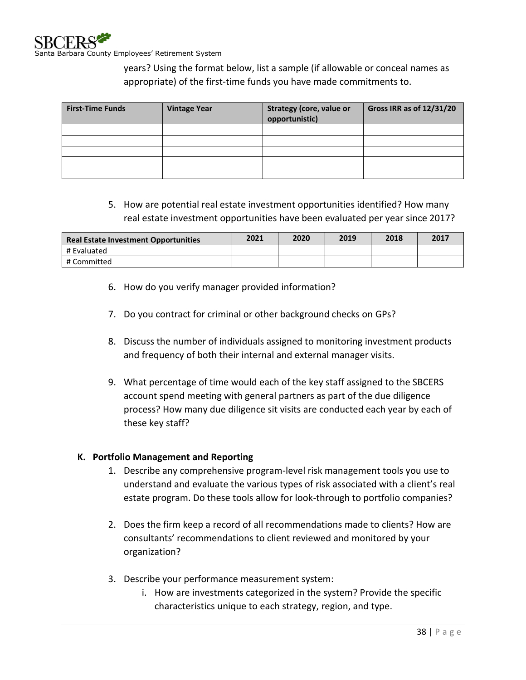years? Using the format below, list a sample (if allowable or conceal names as appropriate) of the first-time funds you have made commitments to.

| <b>First-Time Funds</b> | <b>Vintage Year</b> | <b>Strategy (core, value or</b><br>opportunistic) | Gross IRR as of 12/31/20 |
|-------------------------|---------------------|---------------------------------------------------|--------------------------|
|                         |                     |                                                   |                          |
|                         |                     |                                                   |                          |
|                         |                     |                                                   |                          |
|                         |                     |                                                   |                          |
|                         |                     |                                                   |                          |

# 5. How are potential real estate investment opportunities identified? How many real estate investment opportunities have been evaluated per year since 2017?

| <b>Real Estate Investment Opportunities</b> | 2021 | 2020 | 2019 | 2018 | 2017 |
|---------------------------------------------|------|------|------|------|------|
| # Evaluated                                 |      |      |      |      |      |
| # Committed                                 |      |      |      |      |      |

- 6. How do you verify manager provided information?
- 7. Do you contract for criminal or other background checks on GPs?
- 8. Discuss the number of individuals assigned to monitoring investment products and frequency of both their internal and external manager visits.
- 9. What percentage of time would each of the key staff assigned to the SBCERS account spend meeting with general partners as part of the due diligence process? How many due diligence sit visits are conducted each year by each of these key staff?

### <span id="page-37-0"></span>**K. Portfolio Management and Reporting**

- 1. Describe any comprehensive program-level risk management tools you use to understand and evaluate the various types of risk associated with a client's real estate program. Do these tools allow for look-through to portfolio companies?
- 2. Does the firm keep a record of all recommendations made to clients? How are consultants' recommendations to client reviewed and monitored by your organization?
- 3. Describe your performance measurement system:
	- i. How are investments categorized in the system? Provide the specific characteristics unique to each strategy, region, and type.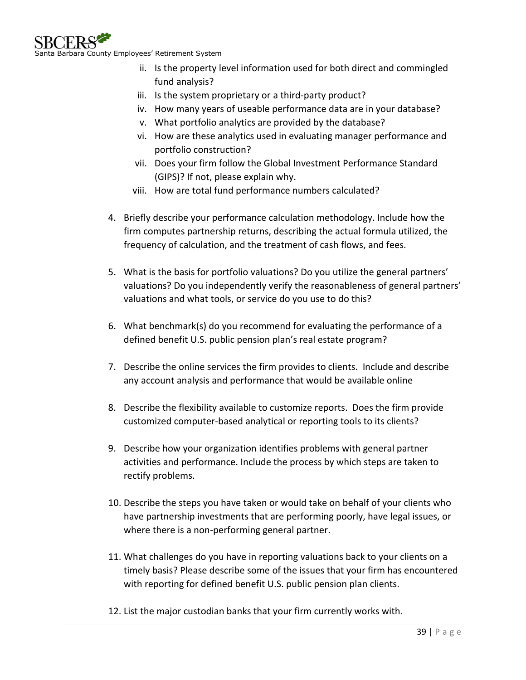

- ii. Is the property level information used for both direct and commingled fund analysis?
- iii. Is the system proprietary or a third-party product?
- iv. How many years of useable performance data are in your database?
- v. What portfolio analytics are provided by the database?
- vi. How are these analytics used in evaluating manager performance and portfolio construction?
- vii. Does your firm follow the Global Investment Performance Standard (GIPS)? If not, please explain why.
- viii. How are total fund performance numbers calculated?
- 4. Briefly describe your performance calculation methodology. Include how the firm computes partnership returns, describing the actual formula utilized, the frequency of calculation, and the treatment of cash flows, and fees.
- 5. What is the basis for portfolio valuations? Do you utilize the general partners' valuations? Do you independently verify the reasonableness of general partners' valuations and what tools, or service do you use to do this?
- 6. What benchmark(s) do you recommend for evaluating the performance of a defined benefit U.S. public pension plan's real estate program?
- 7. Describe the online services the firm provides to clients. Include and describe any account analysis and performance that would be available online
- 8. Describe the flexibility available to customize reports. Does the firm provide customized computer-based analytical or reporting tools to its clients?
- 9. Describe how your organization identifies problems with general partner activities and performance. Include the process by which steps are taken to rectify problems.
- 10. Describe the steps you have taken or would take on behalf of your clients who have partnership investments that are performing poorly, have legal issues, or where there is a non-performing general partner.
- 11. What challenges do you have in reporting valuations back to your clients on a timely basis? Please describe some of the issues that your firm has encountered with reporting for defined benefit U.S. public pension plan clients.
- 12. List the major custodian banks that your firm currently works with.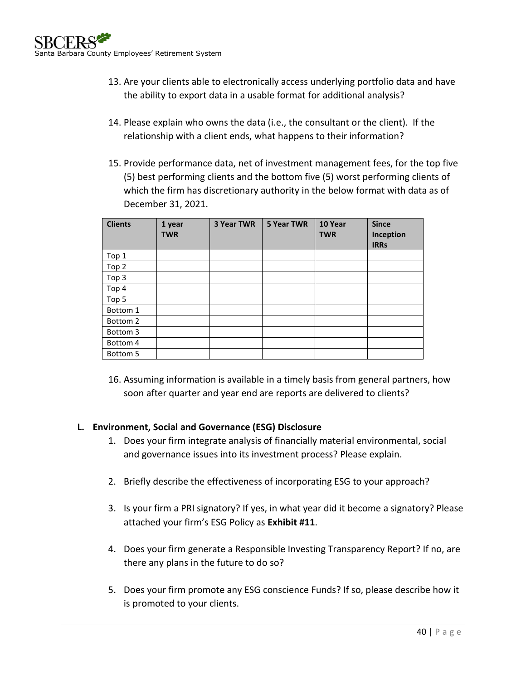- 13. Are your clients able to electronically access underlying portfolio data and have the ability to export data in a usable format for additional analysis?
- 14. Please explain who owns the data (i.e., the consultant or the client). If the relationship with a client ends, what happens to their information?
- 15. Provide performance data, net of investment management fees, for the top five (5) best performing clients and the bottom five (5) worst performing clients of which the firm has discretionary authority in the below format with data as of December 31, 2021.

| <b>Clients</b> | 1 year<br><b>TWR</b> | <b>3 Year TWR</b> | <b>5 Year TWR</b> | 10 Year<br><b>TWR</b> | <b>Since</b><br>Inception<br><b>IRRs</b> |
|----------------|----------------------|-------------------|-------------------|-----------------------|------------------------------------------|
| Top 1          |                      |                   |                   |                       |                                          |
| Top 2          |                      |                   |                   |                       |                                          |
| Top 3          |                      |                   |                   |                       |                                          |
| Top 4          |                      |                   |                   |                       |                                          |
| Top 5          |                      |                   |                   |                       |                                          |
| Bottom 1       |                      |                   |                   |                       |                                          |
| Bottom 2       |                      |                   |                   |                       |                                          |
| Bottom 3       |                      |                   |                   |                       |                                          |
| Bottom 4       |                      |                   |                   |                       |                                          |
| Bottom 5       |                      |                   |                   |                       |                                          |

16. Assuming information is available in a timely basis from general partners, how soon after quarter and year end are reports are delivered to clients?

# <span id="page-39-0"></span>**L. Environment, Social and Governance (ESG) Disclosure**

- 1. Does your firm integrate analysis of financially material environmental, social and governance issues into its investment process? Please explain.
- 2. Briefly describe the effectiveness of incorporating ESG to your approach?
- 3. Is your firm a PRI signatory? If yes, in what year did it become a signatory? Please attached your firm's ESG Policy as **Exhibit #11**.
- 4. Does your firm generate a Responsible Investing Transparency Report? If no, are there any plans in the future to do so?
- 5. Does your firm promote any ESG conscience Funds? If so, please describe how it is promoted to your clients.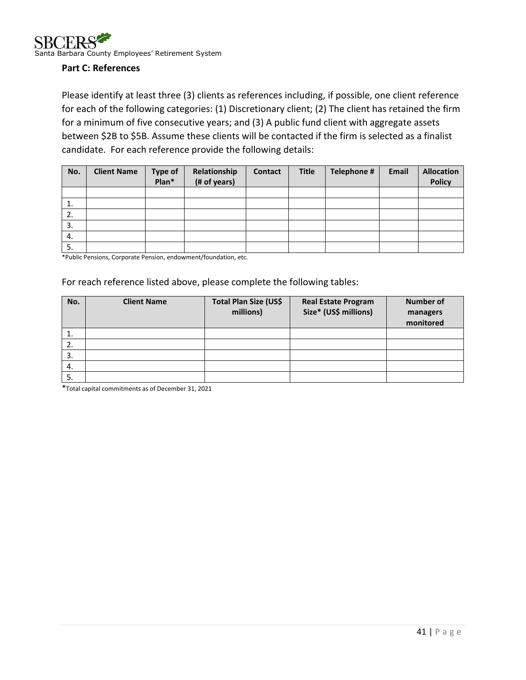

#### <span id="page-40-0"></span>**Part C: References**

Please identify at least three (3) clients as references including, if possible, one client reference for each of the following categories: (1) Discretionary client; (2) The client has retained the firm for a minimum of five consecutive years; and (3) A public fund client with aggregate assets between \$2B to \$5B. Assume these clients will be contacted if the firm is selected as a finalist candidate. For each reference provide the following details:

| No. | <b>Client Name</b> | <b>Type of</b><br>Plan* | Relationship<br>(# of years) | <b>Contact</b> | <b>Title</b> | Telephone # | Email | <b>Allocation</b><br><b>Policy</b> |
|-----|--------------------|-------------------------|------------------------------|----------------|--------------|-------------|-------|------------------------------------|
|     |                    |                         |                              |                |              |             |       |                                    |
| 1.  |                    |                         |                              |                |              |             |       |                                    |
| 2.  |                    |                         |                              |                |              |             |       |                                    |
| 3.  |                    |                         |                              |                |              |             |       |                                    |
| 4.  |                    |                         |                              |                |              |             |       |                                    |
| -5. |                    |                         |                              |                |              |             |       |                                    |

\*Public Pensions, Corporate Pension, endowment/foundation, etc.

#### For reach reference listed above, please complete the following tables:

| No. | <b>Client Name</b> | Total Plan Size (US\$<br>millions) | <b>Real Estate Program</b><br>Size* (US\$ millions) | <b>Number of</b><br>managers<br>monitored |
|-----|--------------------|------------------------------------|-----------------------------------------------------|-------------------------------------------|
| ı.  |                    |                                    |                                                     |                                           |
| 2.  |                    |                                    |                                                     |                                           |
| 3.  |                    |                                    |                                                     |                                           |
| -4. |                    |                                    |                                                     |                                           |
| 5.  |                    |                                    |                                                     |                                           |

\*Total capital commitments as of December 31, 2021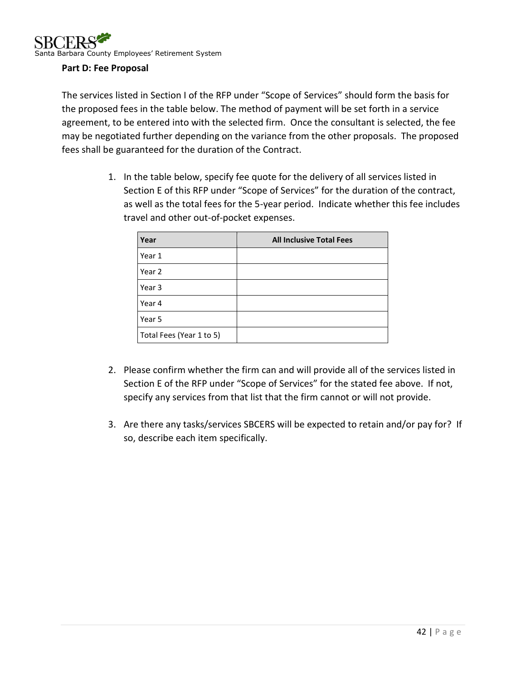### <span id="page-41-0"></span>**Part D: Fee Proposal**

The services listed in Section I of the RFP under "Scope of Services" should form the basis for the proposed fees in the table below. The method of payment will be set forth in a service agreement, to be entered into with the selected firm. Once the consultant is selected, the fee may be negotiated further depending on the variance from the other proposals. The proposed fees shall be guaranteed for the duration of the Contract.

> 1. In the table below, specify fee quote for the delivery of all services listed in Section E of this RFP under "Scope of Services" for the duration of the contract, as well as the total fees for the 5-year period. Indicate whether this fee includes travel and other out-of-pocket expenses.

| Year                     | <b>All Inclusive Total Fees</b> |
|--------------------------|---------------------------------|
| Year 1                   |                                 |
| Year 2                   |                                 |
| Year 3                   |                                 |
| Year 4                   |                                 |
| Year 5                   |                                 |
| Total Fees (Year 1 to 5) |                                 |

- 2. Please confirm whether the firm can and will provide all of the services listed in Section E of the RFP under "Scope of Services" for the stated fee above. If not, specify any services from that list that the firm cannot or will not provide.
- 3. Are there any tasks/services SBCERS will be expected to retain and/or pay for? If so, describe each item specifically.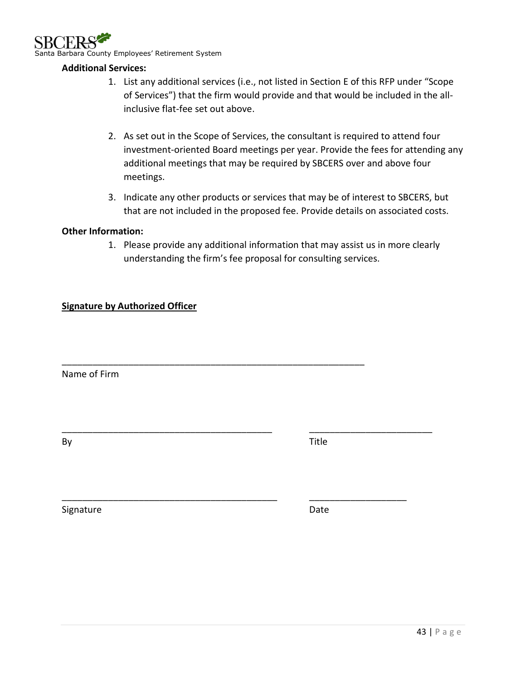

#### <span id="page-42-0"></span>**Additional Services:**

- 1. List any additional services (i.e., not listed in Section E of this RFP under "Scope of Services") that the firm would provide and that would be included in the allinclusive flat-fee set out above.
- 2. As set out in the Scope of Services, the consultant is required to attend four investment-oriented Board meetings per year. Provide the fees for attending any additional meetings that may be required by SBCERS over and above four meetings.
- 3. Indicate any other products or services that may be of interest to SBCERS, but that are not included in the proposed fee. Provide details on associated costs.

#### <span id="page-42-1"></span>**Other Information:**

1. Please provide any additional information that may assist us in more clearly understanding the firm's fee proposal for consulting services.

\_\_\_\_\_\_\_\_\_\_\_\_\_\_\_\_\_\_\_\_\_\_\_\_\_\_\_\_\_\_\_\_\_\_\_\_\_\_\_\_\_\_\_\_\_\_\_\_\_\_\_\_\_\_\_\_\_\_\_

\_\_\_\_\_\_\_\_\_\_\_\_\_\_\_\_\_\_\_\_\_\_\_\_\_\_\_\_\_\_\_\_\_\_\_\_\_\_\_\_\_ \_\_\_\_\_\_\_\_\_\_\_\_\_\_\_\_\_\_\_\_\_\_\_\_

\_\_\_\_\_\_\_\_\_\_\_\_\_\_\_\_\_\_\_\_\_\_\_\_\_\_\_\_\_\_\_\_\_\_\_\_\_\_\_\_\_\_ \_\_\_\_\_\_\_\_\_\_\_\_\_\_\_\_\_\_\_

#### <span id="page-42-2"></span>**Signature by Authorized Officer**

Name of Firm

By Title

Signature Date Date Date Date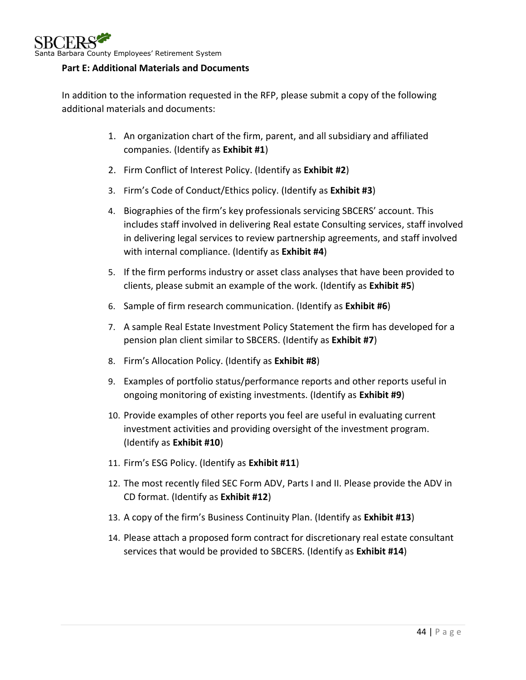

### <span id="page-43-0"></span>**Part E: Additional Materials and Documents**

In addition to the information requested in the RFP, please submit a copy of the following additional materials and documents:

- 1. An organization chart of the firm, parent, and all subsidiary and affiliated companies. (Identify as **Exhibit #1**)
- 2. Firm Conflict of Interest Policy. (Identify as **Exhibit #2**)
- 3. Firm's Code of Conduct/Ethics policy. (Identify as **Exhibit #3**)
- 4. Biographies of the firm's key professionals servicing SBCERS' account. This includes staff involved in delivering Real estate Consulting services, staff involved in delivering legal services to review partnership agreements, and staff involved with internal compliance. (Identify as **Exhibit #4**)
- 5. If the firm performs industry or asset class analyses that have been provided to clients, please submit an example of the work. (Identify as **Exhibit #5**)
- 6. Sample of firm research communication. (Identify as **Exhibit #6**)
- 7. A sample Real Estate Investment Policy Statement the firm has developed for a pension plan client similar to SBCERS. (Identify as **Exhibit #7**)
- 8. Firm's Allocation Policy. (Identify as **Exhibit #8**)
- 9. Examples of portfolio status/performance reports and other reports useful in ongoing monitoring of existing investments. (Identify as **Exhibit #9**)
- 10. Provide examples of other reports you feel are useful in evaluating current investment activities and providing oversight of the investment program. (Identify as **Exhibit #10**)
- 11. Firm's ESG Policy. (Identify as **Exhibit #11**)
- 12. The most recently filed SEC Form ADV, Parts I and II. Please provide the ADV in CD format. (Identify as **Exhibit #12**)
- 13. A copy of the firm's Business Continuity Plan. (Identify as **Exhibit #13**)
- 14. Please attach a proposed form contract for discretionary real estate consultant services that would be provided to SBCERS. (Identify as **Exhibit #14**)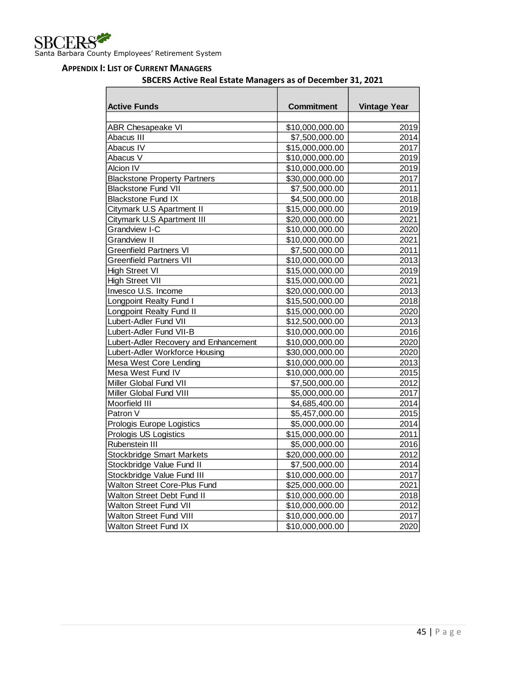#### <span id="page-44-0"></span>**APPENDIX I: LIST OF CURRENT MANAGERS**

#### **SBCERS Active Real Estate Managers as of December 31, 2021**

| <b>Active Funds</b>                   | Commitment      | <b>Vintage Year</b> |
|---------------------------------------|-----------------|---------------------|
|                                       |                 |                     |
| <b>ABR Chesapeake VI</b>              | \$10,000,000.00 | 2019                |
| Abacus III                            | \$7,500,000.00  | 2014                |
| Abacus IV                             | \$15,000,000.00 | 2017                |
| Abacus V                              | \$10,000,000.00 | 2019                |
| <b>Alcion IV</b>                      | \$10,000,000.00 | 2019                |
| <b>Blackstone Property Partners</b>   | \$30,000,000.00 | 2017                |
| <b>Blackstone Fund VII</b>            | \$7,500,000.00  | 2011                |
| <b>Blackstone Fund IX</b>             | \$4,500,000.00  | 2018                |
| Citymark U.S Apartment II             | \$15,000,000.00 | 2019                |
| Citymark U.S Apartment III            | \$20,000,000.00 | 2021                |
| <b>Grandview I-C</b>                  | \$10,000,000.00 | 2020                |
| <b>Grandview II</b>                   | \$10,000,000.00 | 2021                |
| <b>Greenfield Partners VI</b>         | \$7,500,000.00  | 2011                |
| <b>Greenfield Partners VII</b>        | \$10,000,000.00 | 2013                |
| <b>High Street VI</b>                 | \$15,000,000.00 | 2019                |
| <b>High Street VII</b>                | \$15,000,000.00 | 2021                |
| Invesco U.S. Income                   | \$20,000,000.00 | 2013                |
| Longpoint Realty Fund I               | \$15,500,000.00 | 2018                |
| Longpoint Realty Fund II              | \$15,000,000.00 | 2020                |
| Lubert-Adler Fund VII                 | \$12,500,000.00 | 2013                |
| Lubert-Adler Fund VII-B               | \$10,000,000.00 | 2016                |
| Lubert-Adler Recovery and Enhancement | \$10,000,000.00 | 2020                |
| Lubert-Adler Workforce Housing        | \$30,000,000.00 | 2020                |
| Mesa West Core Lending                | \$10,000,000.00 | 2013                |
| Mesa West Fund IV                     | \$10,000,000.00 | 2015                |
| Miller Global Fund VII                | \$7,500,000.00  | 2012                |
| Miller Global Fund VIII               | \$5,000,000.00  | 2017                |
| Moorfield III                         | \$4,685,400.00  | 2014                |
| Patron V                              | \$5,457,000.00  | 2015                |
| Prologis Europe Logistics             | \$5,000,000.00  | 2014                |
| Prologis US Logistics                 | \$15,000,000.00 | 2011                |
| Rubenstein III                        | \$5,000,000.00  | 2016                |
| <b>Stockbridge Smart Markets</b>      | \$20,000,000.00 | 2012                |
| Stockbridge Value Fund II             | \$7,500,000.00  | 2014                |
| Stockbridge Value Fund III            | \$10,000,000.00 | 2017                |
| <b>Walton Street Core-Plus Fund</b>   | \$25,000,000.00 | 2021                |
| Walton Street Debt Fund II            | \$10,000,000.00 | 2018                |
| <b>Walton Street Fund VII</b>         | \$10,000,000.00 | 2012                |
| <b>Walton Street Fund VIII</b>        | \$10,000,000.00 | 2017                |
| <b>Walton Street Fund IX</b>          | \$10,000,000.00 | 2020                |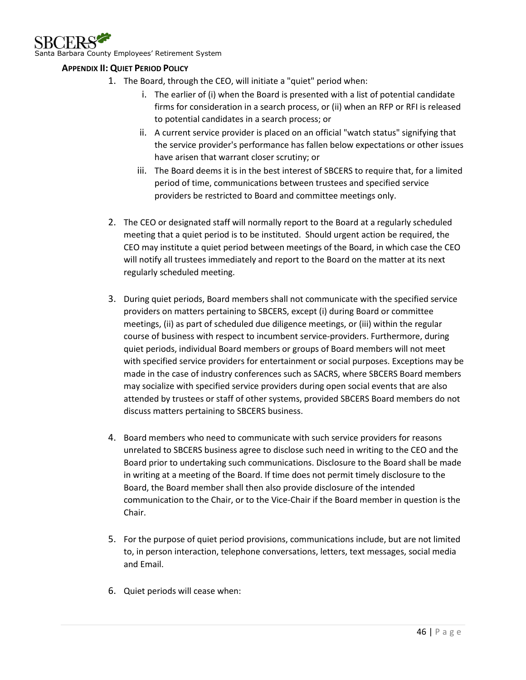

Barbara County Employees' Retirement System

#### <span id="page-45-0"></span>**APPENDIX II: QUIET PERIOD POLICY**

- 1. The Board, through the CEO, will initiate a "quiet" period when:
	- i. The earlier of (i) when the Board is presented with a list of potential candidate firms for consideration in a search process, or (ii) when an RFP or RFI is released to potential candidates in a search process; or
	- ii. A current service provider is placed on an official "watch status" signifying that the service provider's performance has fallen below expectations or other issues have arisen that warrant closer scrutiny; or
	- iii. The Board deems it is in the best interest of SBCERS to require that, for a limited period of time, communications between trustees and specified service providers be restricted to Board and committee meetings only.
	- 2. The CEO or designated staff will normally report to the Board at a regularly scheduled meeting that a quiet period is to be instituted. Should urgent action be required, the CEO may institute a quiet period between meetings of the Board, in which case the CEO will notify all trustees immediately and report to the Board on the matter at its next regularly scheduled meeting.
	- 3. During quiet periods, Board members shall not communicate with the specified service providers on matters pertaining to SBCERS, except (i) during Board or committee meetings, (ii) as part of scheduled due diligence meetings, or (iii) within the regular course of business with respect to incumbent service-providers. Furthermore, during quiet periods, individual Board members or groups of Board members will not meet with specified service providers for entertainment or social purposes. Exceptions may be made in the case of industry conferences such as SACRS, where SBCERS Board members may socialize with specified service providers during open social events that are also attended by trustees or staff of other systems, provided SBCERS Board members do not discuss matters pertaining to SBCERS business.
	- 4. Board members who need to communicate with such service providers for reasons unrelated to SBCERS business agree to disclose such need in writing to the CEO and the Board prior to undertaking such communications. Disclosure to the Board shall be made in writing at a meeting of the Board. If time does not permit timely disclosure to the Board, the Board member shall then also provide disclosure of the intended communication to the Chair, or to the Vice-Chair if the Board member in question is the Chair.
	- 5. For the purpose of quiet period provisions, communications include, but are not limited to, in person interaction, telephone conversations, letters, text messages, social media and Email.
	- 6. Quiet periods will cease when: